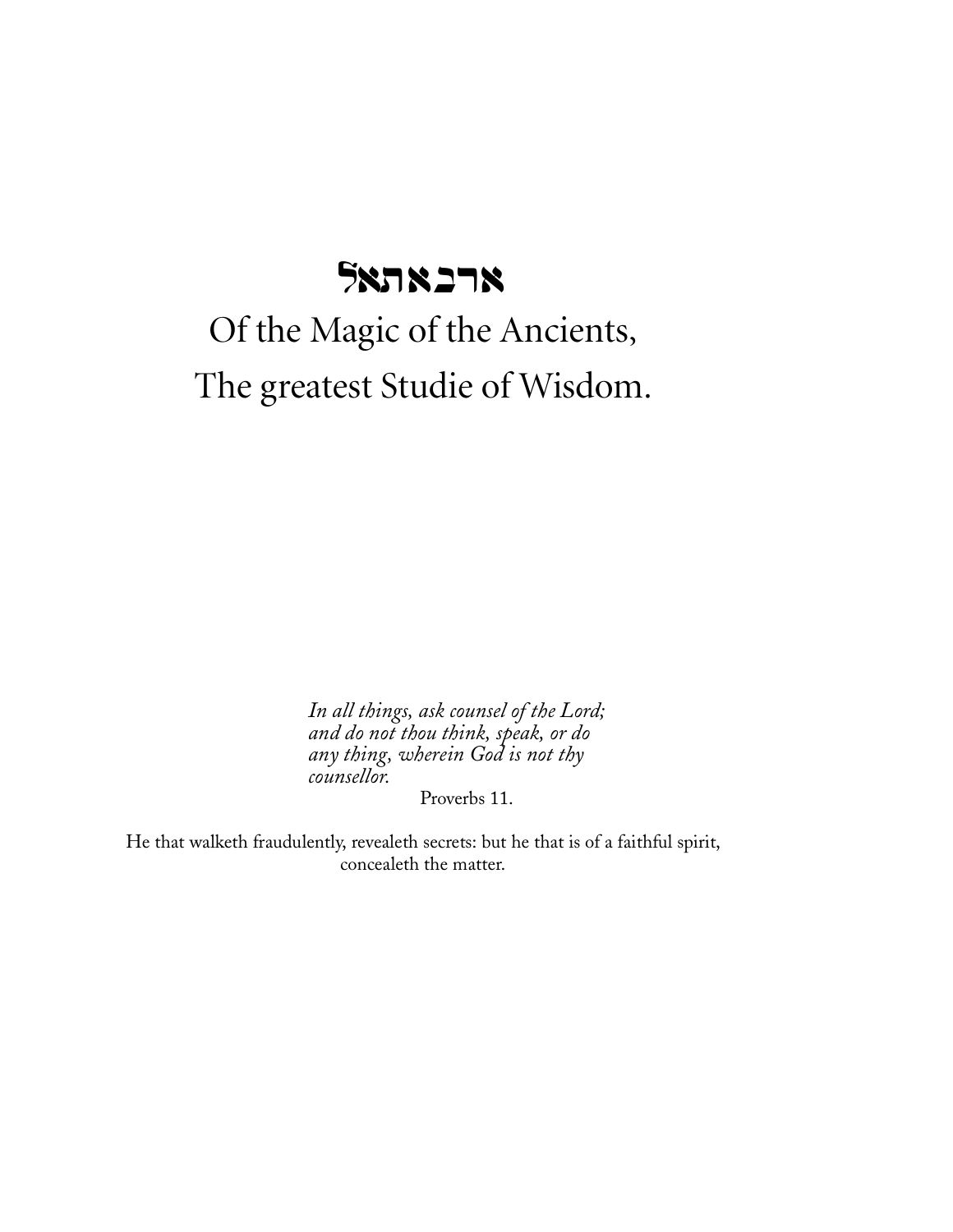# SNJN27N

# Of the Magic of the Ancients, The greatest Studie of Wisdom.

*In all things, ask counsel of the Lord; and do not thou think, speak, or do any thing, wherein God is not thy counsellor.*

Proverbs 11.

He that walketh fraudulently, revealeth secrets: but he that is of a faithful spirit, concealeth the matter.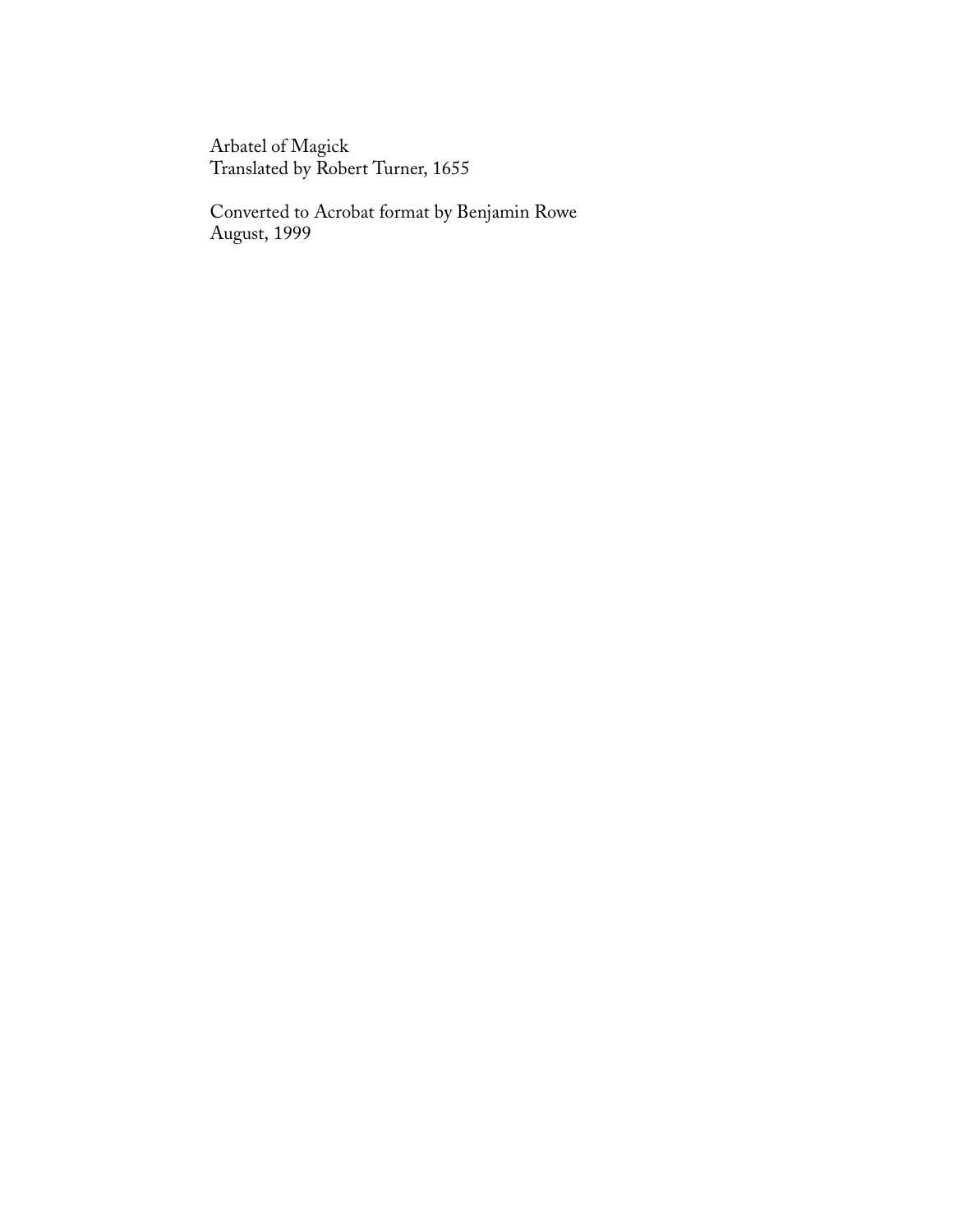Arbatel of Magick Translated by Robert Turner, 1655

Converted to Acrobat format by Benjamin Rowe August, 1999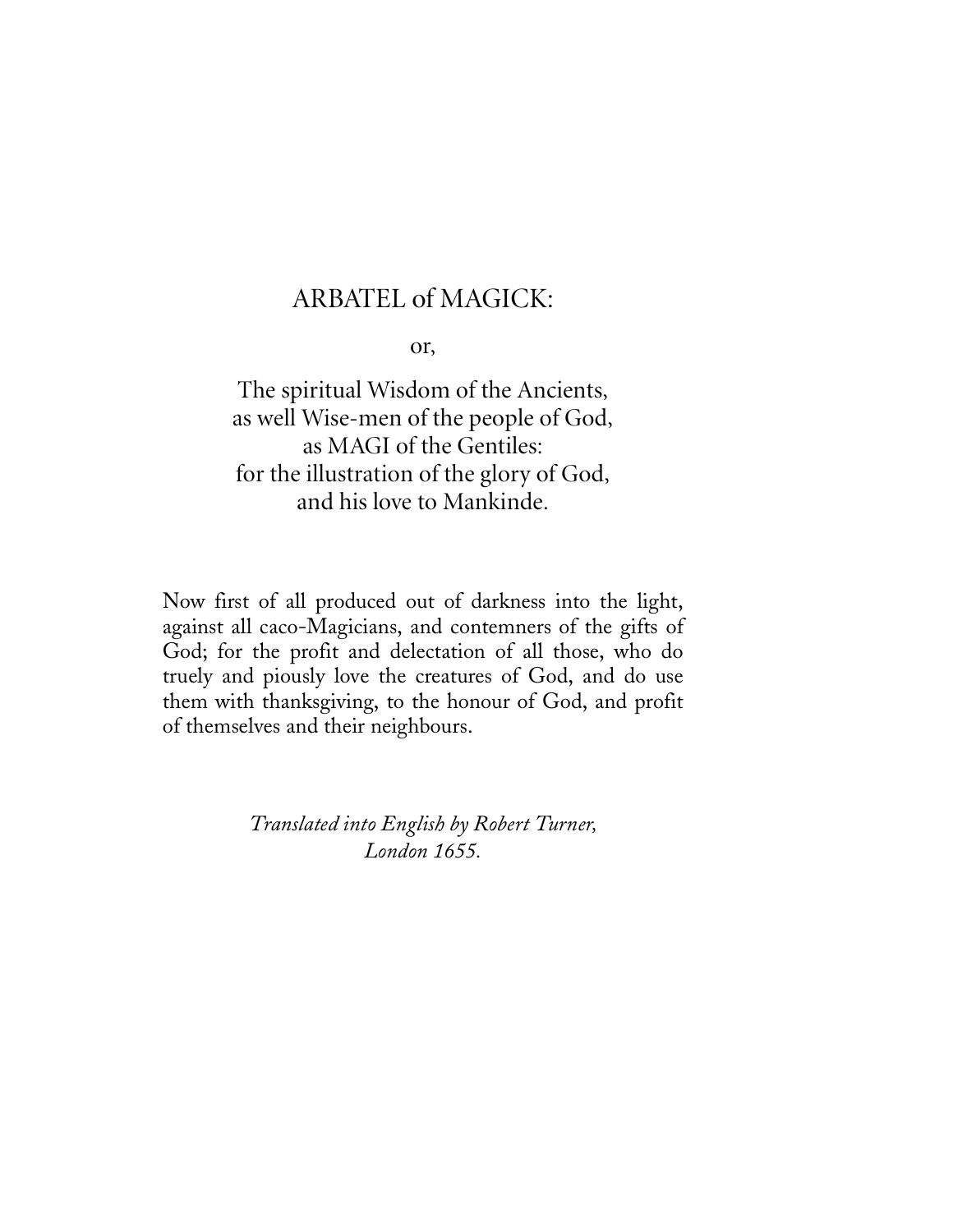# ARBATEL of MAGICK:

or,

The spiritual Wisdom of the Ancients, as well Wise-men of the people of God, as MAGI of the Gentiles: for the illustration of the glory of God, and his love to Mankinde.

Now first of all produced out of darkness into the light, against all caco-Magicians, and contemners of the gifts of God; for the profit and delectation of all those, who do truely and piously love the creatures of God, and do use them with thanksgiving, to the honour of God, and profit of themselves and their neighbours.

> *Translated into English by Robert Turner, London 1655.*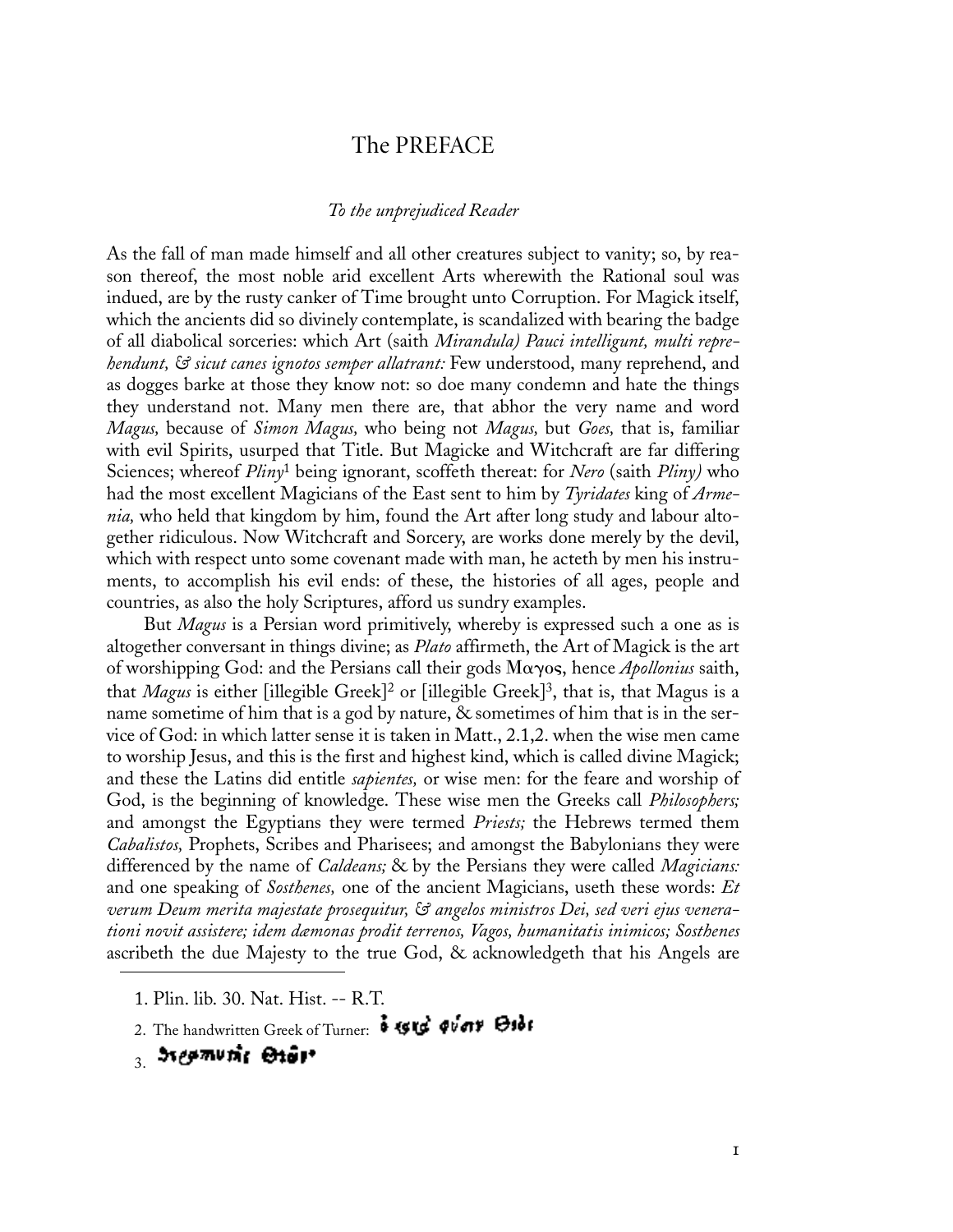# The PREFACE

#### *To the unprejudiced Reader*

As the fall of man made himself and all other creatures subject to vanity; so, by reason thereof, the most noble arid excellent Arts wherewith the Rational soul was indued, are by the rusty canker of Time brought unto Corruption. For Magick itself, which the ancients did so divinely contemplate, is scandalized with bearing the badge of all diabolical sorceries: which Art (saith *Mirandula) Pauci intelligunt, multi reprehendunt, & sicut canes ignotos semper allatrant:* Few understood, many reprehend, and as dogges barke at those they know not: so doe many condemn and hate the things they understand not. Many men there are, that abhor the very name and word *Magus,* because of *Simon Magus,* who being not *Magus,* but *Goes,* that is, familiar with evil Spirits, usurped that Title. But Magicke and Witchcraft are far differing Sciences; whereof *Pliny*1 being ignorant, scoffeth thereat: for *Nero* (saith *Pliny)* who had the most excellent Magicians of the East sent to him by *Tyridates* king of *Armenia,* who held that kingdom by him, found the Art after long study and labour altogether ridiculous. Now Witchcraft and Sorcery, are works done merely by the devil, which with respect unto some covenant made with man, he acteth by men his instruments, to accomplish his evil ends: of these, the histories of all ages, people and countries, as also the holy Scriptures, afford us sundry examples.

But *Magus* is a Persian word primitively, whereby is expressed such a one as is altogether conversant in things divine; as *Plato* affirmeth, the Art of Magick is the art of worshipping God: and the Persians call their gods Mayos, hence *Apollonius* saith, that *Magus* is either [illegible Greek]<sup>2</sup> or [illegible Greek]<sup>3</sup>, that is, that Magus is a name sometime of him that is a god by nature, & sometimes of him that is in the service of God: in which latter sense it is taken in Matt., 2.1,2. when the wise men came to worship Jesus, and this is the first and highest kind, which is called divine Magick; and these the Latins did entitle *sapientes,* or wise men: for the feare and worship of God, is the beginning of knowledge. These wise men the Greeks call *Philosophers;* and amongst the Egyptians they were termed *Priests;* the Hebrews termed them *Cabalistos,* Prophets, Scribes and Pharisees; and amongst the Babylonians they were differenced by the name of *Caldeans;* & by the Persians they were called *Magicians:* and one speaking of *Sosthenes,* one of the ancient Magicians, useth these words: *Et verum Deum merita majestate prosequitur, & angelos ministros Dei, sed veri ejus venerationi novit assistere; idem dæmonas prodit terrenos, Vagos, humanitatis inimicos; Sosthenes* ascribeth the due Majesty to the true God, & acknowledgeth that his Angels are

- 1. Plin. lib. 30. Nat. Hist. -- R.T.
- 2. The handwritten Greek of Turner:  $\frac{1}{2}$  1513  $\neq$  1617  $\ominus$ 161
- 3. Siegemunic Otor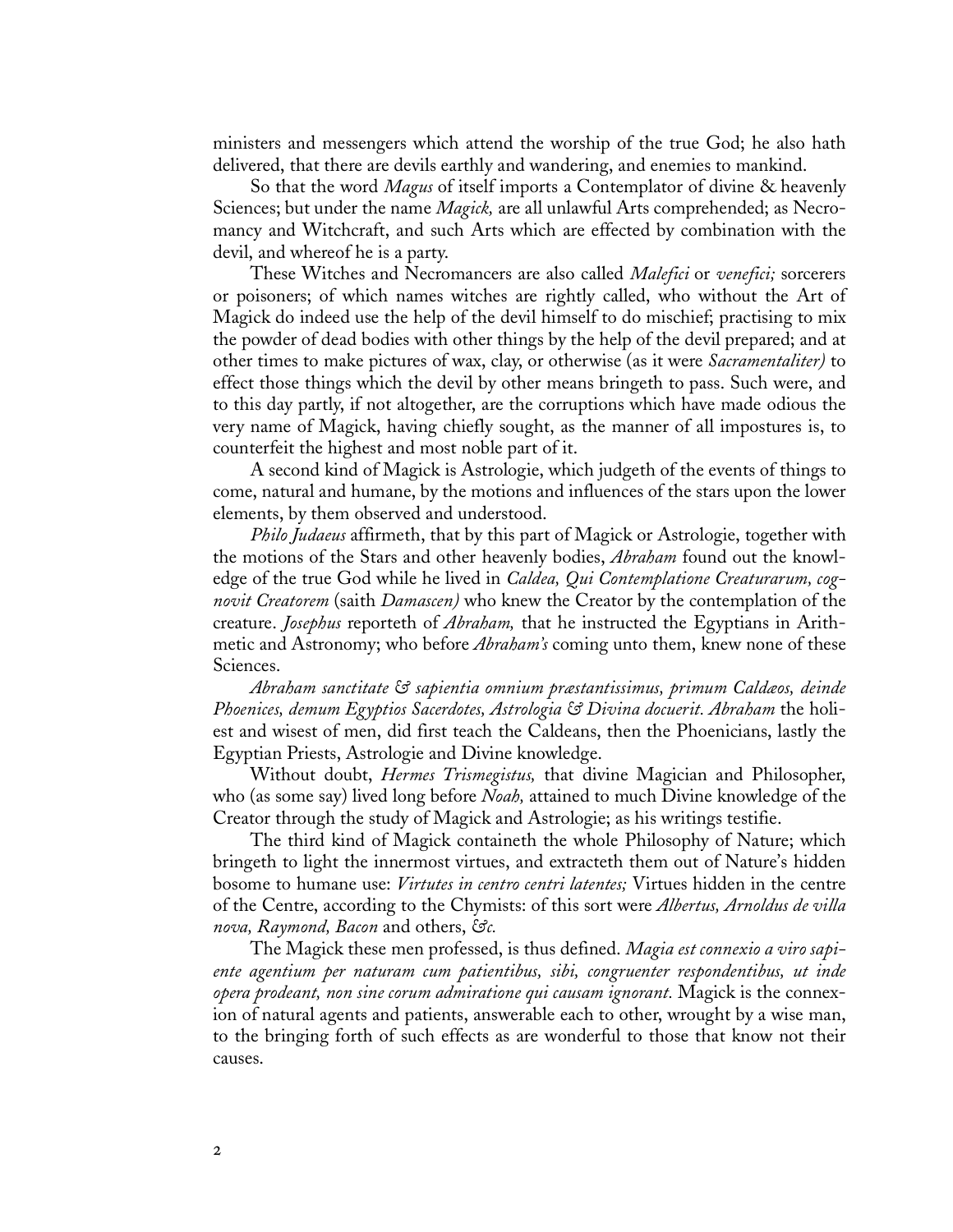ministers and messengers which attend the worship of the true God; he also hath delivered, that there are devils earthly and wandering, and enemies to mankind.

So that the word *Magus* of itself imports a Contemplator of divine & heavenly Sciences; but under the name *Magick,* are all unlawful Arts comprehended; as Necromancy and Witchcraft, and such Arts which are effected by combination with the devil, and whereof he is a party.

These Witches and Necromancers are also called *Malefici* or *venefici;* sorcerers or poisoners; of which names witches are rightly called, who without the Art of Magick do indeed use the help of the devil himself to do mischief; practising to mix the powder of dead bodies with other things by the help of the devil prepared; and at other times to make pictures of wax, clay, or otherwise (as it were *Sacramentaliter)* to effect those things which the devil by other means bringeth to pass. Such were, and to this day partly, if not altogether, are the corruptions which have made odious the very name of Magick, having chiefly sought, as the manner of all impostures is, to counterfeit the highest and most noble part of it.

A second kind of Magick is Astrologie, which judgeth of the events of things to come, natural and humane, by the motions and influences of the stars upon the lower elements, by them observed and understood.

*Philo Judaeus* affirmeth, that by this part of Magick or Astrologie, together with the motions of the Stars and other heavenly bodies, *Abraham* found out the knowledge of the true God while he lived in *Caldea, Qui Contemplatione Creaturarum, cognovit Creatorem* (saith *Damascen)* who knew the Creator by the contemplation of the creature. *Josephus* reporteth of *Abraham,* that he instructed the Egyptians in Arithmetic and Astronomy; who before *Abraham's* coming unto them, knew none of these Sciences.

*Abraham sanctitate & sapientia omnium præstantissimus, primum Caldæos, deinde Phoenices, demum Egyptios Sacerdotes, Astrologia & Divina docuerit. Abraham* the holiest and wisest of men, did first teach the Caldeans, then the Phoenicians, lastly the Egyptian Priests, Astrologie and Divine knowledge.

Without doubt, *Hermes Trismegistus,* that divine Magician and Philosopher, who (as some say) lived long before *Noah,* attained to much Divine knowledge of the Creator through the study of Magick and Astrologie; as his writings testifie.

The third kind of Magick containeth the whole Philosophy of Nature; which bringeth to light the innermost virtues, and extracteth them out of Nature's hidden bosome to humane use: *Virtutes in centro centri latentes;* Virtues hidden in the centre of the Centre, according to the Chymists: of this sort were *Albertus, Arnoldus de villa nova, Raymond, Bacon* and others, *&c.*

The Magick these men professed, is thus defined. *Magia est connexio a viro sapiente agentium per naturam cum patientibus, sibi, congruenter respondentibus, ut inde opera prodeant, non sine corum admiratione qui causam ignorant.* Magick is the connexion of natural agents and patients, answerable each to other, wrought by a wise man, to the bringing forth of such effects as are wonderful to those that know not their causes.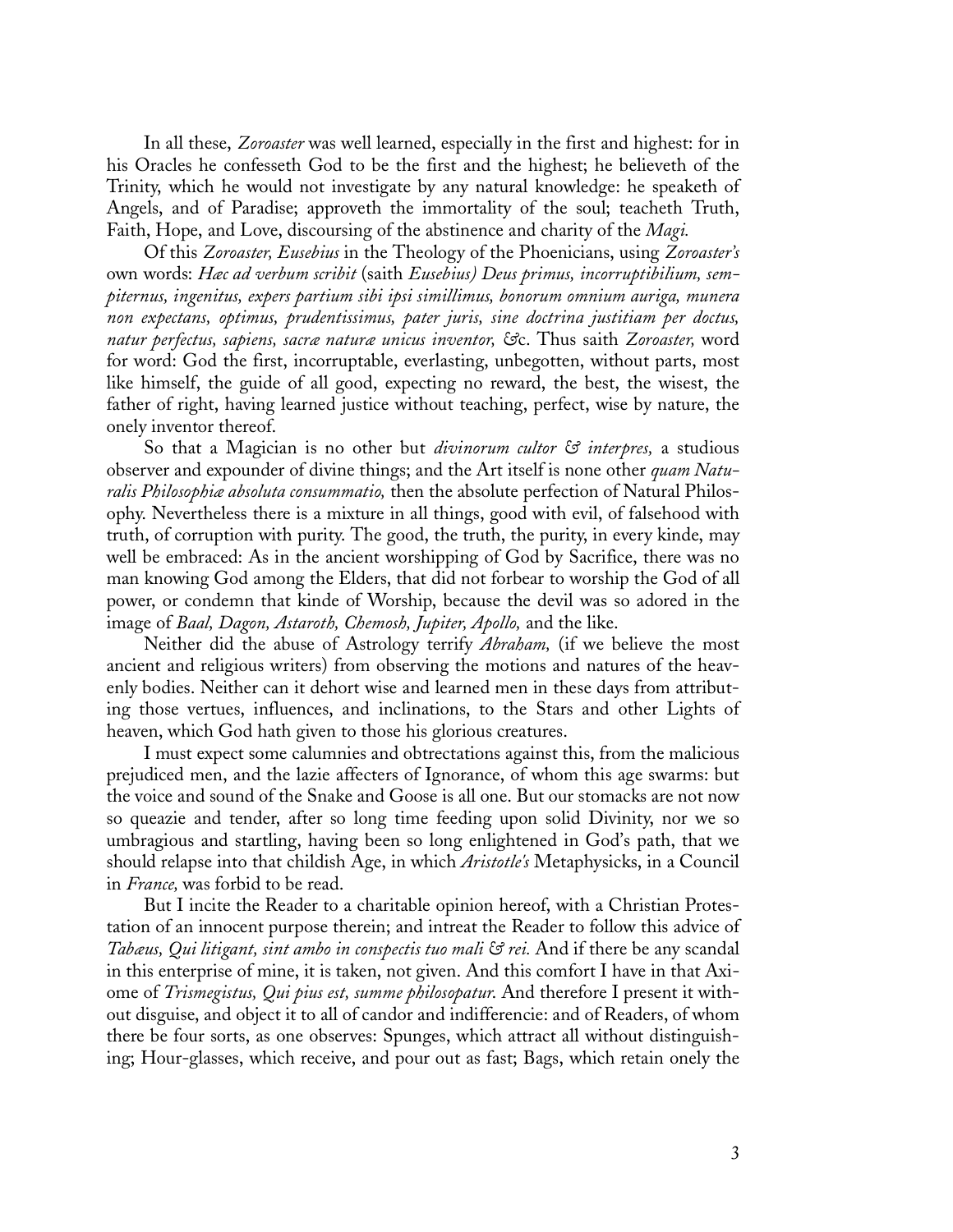In all these, *Zoroaster* was well learned, especially in the first and highest: for in his Oracles he confesseth God to be the first and the highest; he believeth of the Trinity, which he would not investigate by any natural knowledge: he speaketh of Angels, and of Paradise; approveth the immortality of the soul; teacheth Truth, Faith, Hope, and Love, discoursing of the abstinence and charity of the *Magi.*

Of this *Zoroaster, Eusebius* in the Theology of the Phoenicians, using *Zoroaster's* own words: *Hæc ad verbum scribit* (saith *Eusebius) Deus primus, incorruptibilium, sempiternus, ingenitus, expers partium sibi ipsi simillimus, bonorum omnium auriga, munera non expectans, optimus, prudentissimus, pater juris, sine doctrina justitiam per doctus, natur perfectus, sapiens, sacræ naturæ unicus inventor, &*c. Thus saith *Zoroaster,* word for word: God the first, incorruptable, everlasting, unbegotten, without parts, most like himself, the guide of all good, expecting no reward, the best, the wisest, the father of right, having learned justice without teaching, perfect, wise by nature, the onely inventor thereof.

So that a Magician is no other but *divinorum cultor & interpres,* a studious observer and expounder of divine things; and the Art itself is none other *quam Naturalis Philosophiæ absoluta consummatio,* then the absolute perfection of Natural Philosophy. Nevertheless there is a mixture in all things, good with evil, of falsehood with truth, of corruption with purity. The good, the truth, the purity, in every kinde, may well be embraced: As in the ancient worshipping of God by Sacrifice, there was no man knowing God among the Elders, that did not forbear to worship the God of all power, or condemn that kinde of Worship, because the devil was so adored in the image of *Baal, Dagon, Astaroth, Chemosh, Jupiter, Apollo,* and the like.

Neither did the abuse of Astrology terrify *Abraham,* (if we believe the most ancient and religious writers) from observing the motions and natures of the heavenly bodies. Neither can it dehort wise and learned men in these days from attributing those vertues, influences, and inclinations, to the Stars and other Lights of heaven, which God hath given to those his glorious creatures.

I must expect some calumnies and obtrectations against this, from the malicious prejudiced men, and the lazie affecters of Ignorance, of whom this age swarms: but the voice and sound of the Snake and Goose is all one. But our stomacks are not now so queazie and tender, after so long time feeding upon solid Divinity, nor we so umbragious and startling, having been so long enlightened in God's path, that we should relapse into that childish Age, in which *Aristotle's* Metaphysicks, in a Council in *France,* was forbid to be read.

But I incite the Reader to a charitable opinion hereof, with a Christian Protestation of an innocent purpose therein; and intreat the Reader to follow this advice of *Tabæus, Qui litigant, sint ambo in conspectis tuo mali & rei.* And if there be any scandal in this enterprise of mine, it is taken, not given. And this comfort I have in that Axiome of *Trismegistus, Qui pius est, summe philosopatur*. And therefore I present it without disguise, and object it to all of candor and indifferencie: and of Readers, of whom there be four sorts, as one observes: Spunges, which attract all without distinguishing; Hour-glasses, which receive, and pour out as fast; Bags, which retain onely the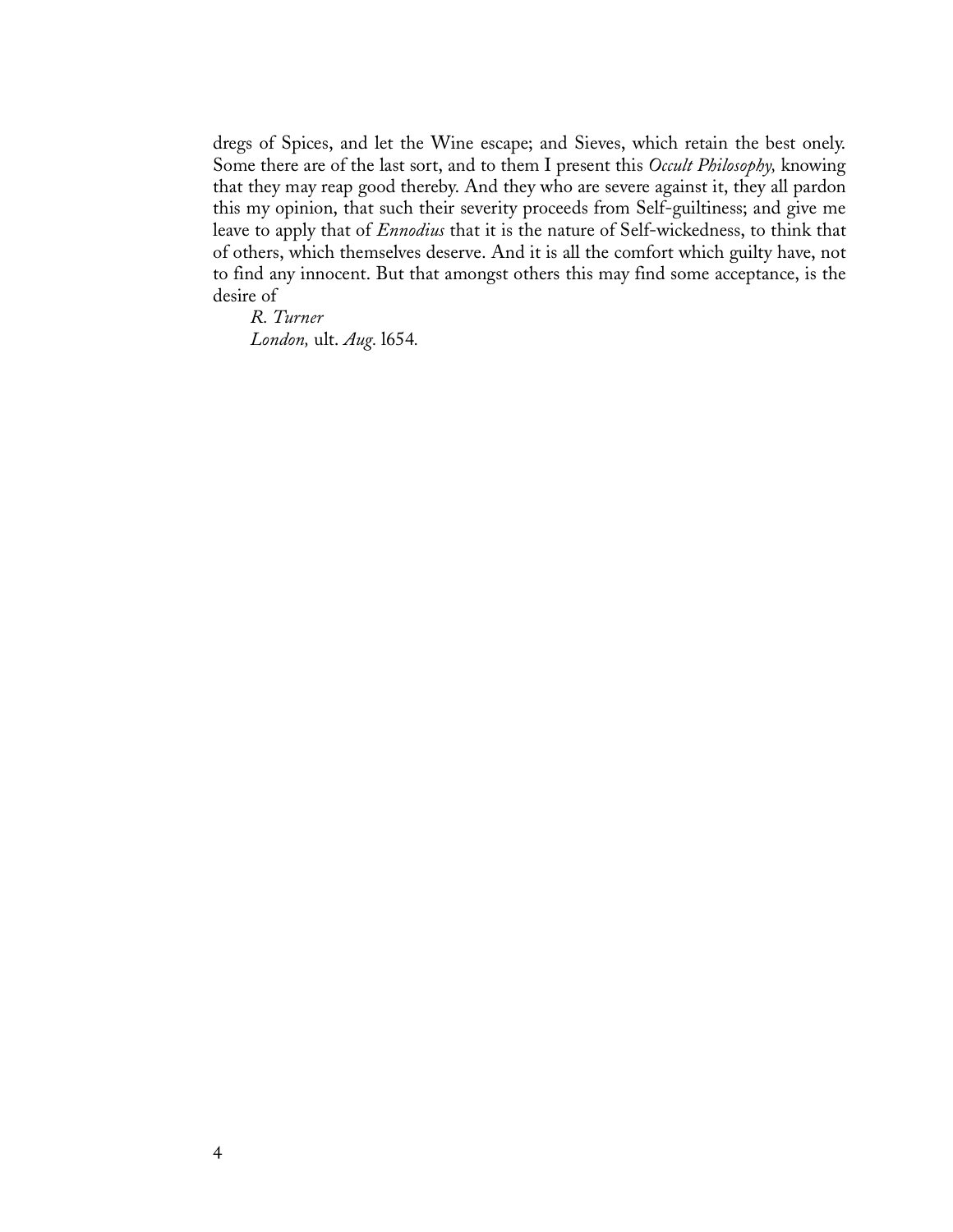dregs of Spices, and let the Wine escape; and Sieves, which retain the best onely. Some there are of the last sort, and to them I present this *Occult Philosophy,* knowing that they may reap good thereby. And they who are severe against it, they all pardon this my opinion, that such their severity proceeds from Self-guiltiness; and give me leave to apply that of *Ennodius* that it is the nature of Self-wickedness, to think that of others, which themselves deserve. And it is all the comfort which guilty have, not to find any innocent. But that amongst others this may find some acceptance, is the desire of

*R. Turner London,* ult. *Aug.* l654*.*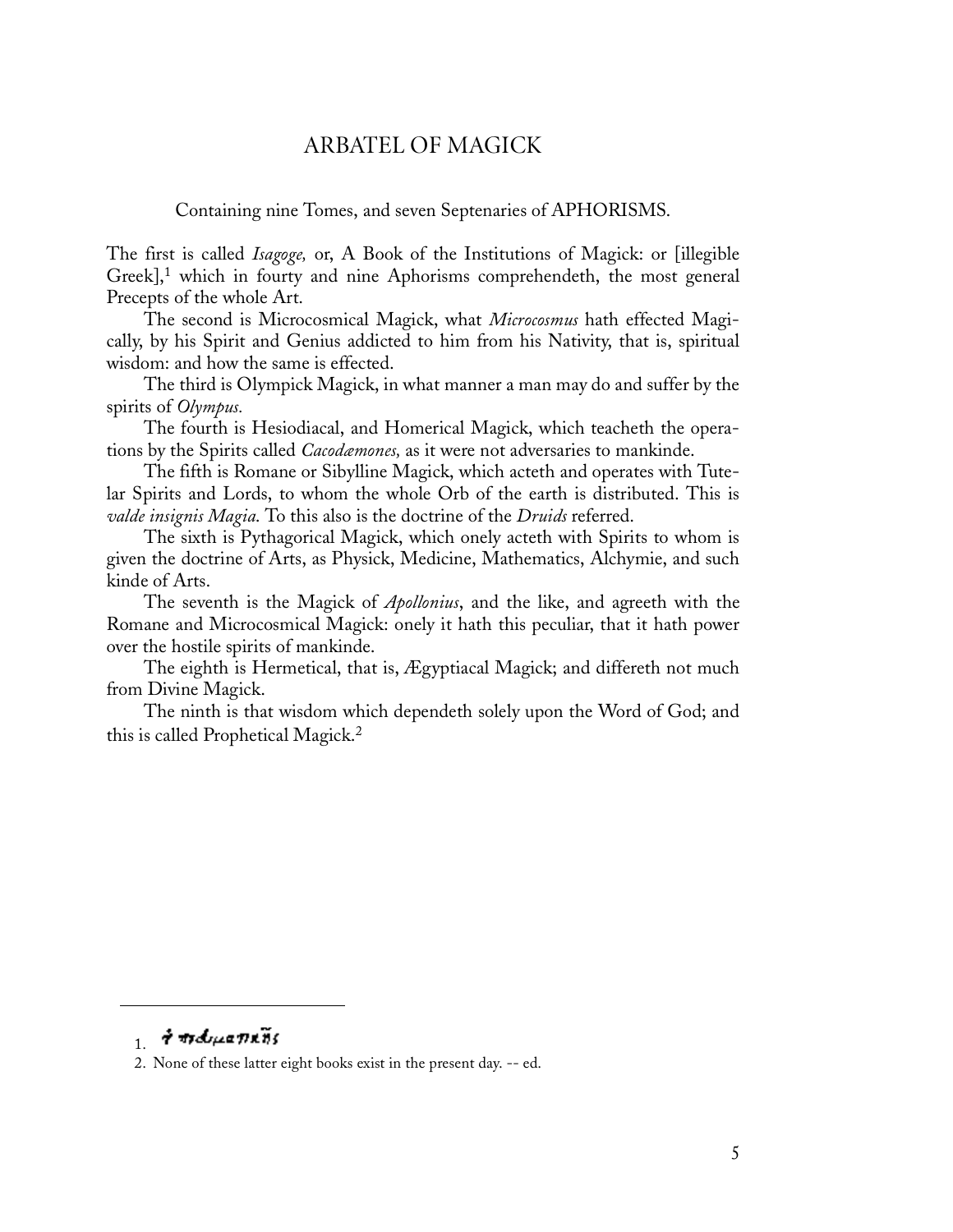# ARBATEL OF MAGICK

Containing nine Tomes, and seven Septenaries of APHORISMS.

The first is called *Isagoge,* or, A Book of the Institutions of Magick: or [illegible Greek],<sup>1</sup> which in fourty and nine Aphorisms comprehendeth, the most general Precepts of the whole Art.

The second is Microcosmical Magick, what *Microcosmus* hath effected Magically, by his Spirit and Genius addicted to him from his Nativity, that is, spiritual wisdom: and how the same is effected.

The third is Olympick Magick, in what manner a man may do and suffer by the spirits of *Olympus.*

The fourth is Hesiodiacal, and Homerical Magick, which teacheth the operations by the Spirits called *Cacodæmones,* as it were not adversaries to mankinde.

The fifth is Romane or Sibylline Magick, which acteth and operates with Tutelar Spirits and Lords, to whom the whole Orb of the earth is distributed. This is *valde insignis Magia*. To this also is the doctrine of the *Druids* referred.

The sixth is Pythagorical Magick, which onely acteth with Spirits to whom is given the doctrine of Arts, as Physick, Medicine, Mathematics, Alchymie, and such kinde of Arts.

The seventh is the Magick of *Apollonius*, and the like, and agreeth with the Romane and Microcosmical Magick: onely it hath this peculiar, that it hath power over the hostile spirits of mankinde.

The eighth is Hermetical, that is, Ægyptiacal Magick; and differeth not much from Divine Magick.

The ninth is that wisdom which dependeth solely upon the Word of God; and this is called Prophetical Magick.2

 $1.7$  md  $\mu$ enens

<sup>2.</sup> None of these latter eight books exist in the present day. -- ed.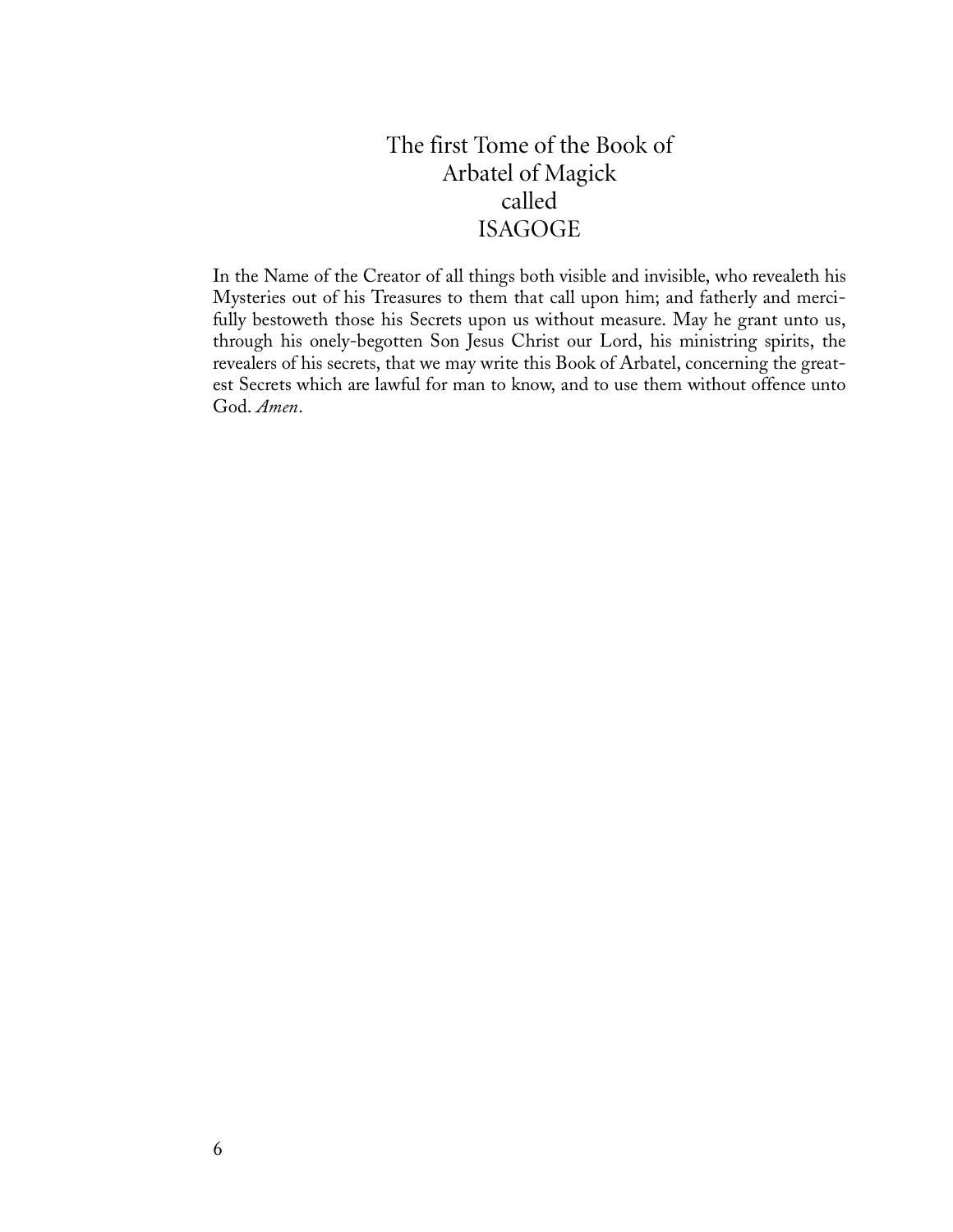# The first Tome of the Book of Arbatel of Magick called ISAGOGE

In the Name of the Creator of all things both visible and invisible, who revealeth his Mysteries out of his Treasures to them that call upon him; and fatherly and mercifully bestoweth those his Secrets upon us without measure. May he grant unto us, through his onely-begotten Son Jesus Christ our Lord, his ministring spirits, the revealers of his secrets, that we may write this Book of Arbatel, concerning the greatest Secrets which are lawful for man to know, and to use them without offence unto God. *Amen*.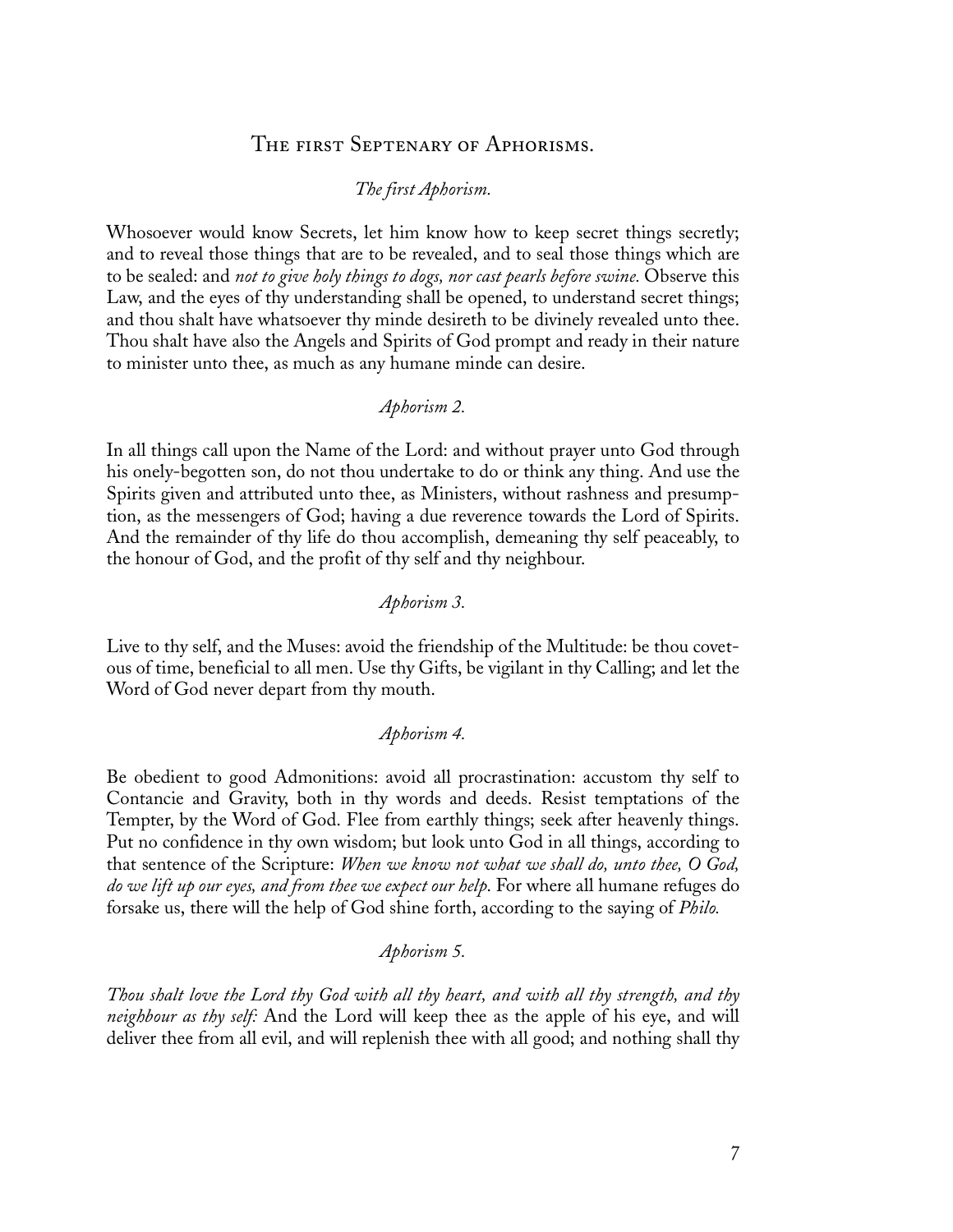# The first Septenary of Aphorisms.

#### *The first Aphorism.*

Whosoever would know Secrets, let him know how to keep secret things secretly; and to reveal those things that are to be revealed, and to seal those things which are to be sealed: and *not to give holy things to dogs, nor cast pearls before swine.* Observe this Law, and the eyes of thy understanding shall be opened, to understand secret things; and thou shalt have whatsoever thy minde desireth to be divinely revealed unto thee. Thou shalt have also the Angels and Spirits of God prompt and ready in their nature to minister unto thee, as much as any humane minde can desire.

#### *Aphorism 2.*

In all things call upon the Name of the Lord: and without prayer unto God through his onely-begotten son, do not thou undertake to do or think any thing. And use the Spirits given and attributed unto thee, as Ministers, without rashness and presumption, as the messengers of God; having a due reverence towards the Lord of Spirits. And the remainder of thy life do thou accomplish, demeaning thy self peaceably, to the honour of God, and the profit of thy self and thy neighbour.

#### *Aphorism 3.*

Live to thy self, and the Muses: avoid the friendship of the Multitude: be thou covetous of time, beneficial to all men. Use thy Gifts, be vigilant in thy Calling; and let the Word of God never depart from thy mouth.

#### *Aphorism 4.*

Be obedient to good Admonitions: avoid all procrastination: accustom thy self to Contancie and Gravity, both in thy words and deeds. Resist temptations of the Tempter, by the Word of God. Flee from earthly things; seek after heavenly things. Put no confidence in thy own wisdom; but look unto God in all things, according to that sentence of the Scripture: *When we know not what we shall do, unto thee, O God, do we lift up our eyes, and from thee we expect our help*. For where all humane refuges do forsake us, there will the help of God shine forth, according to the saying of *Philo.*

#### *Aphorism 5.*

*Thou shalt love the Lord thy God with all thy heart, and with all thy strength, and thy neighbour as thy self:* And the Lord will keep thee as the apple of his eye, and will deliver thee from all evil, and will replenish thee with all good; and nothing shall thy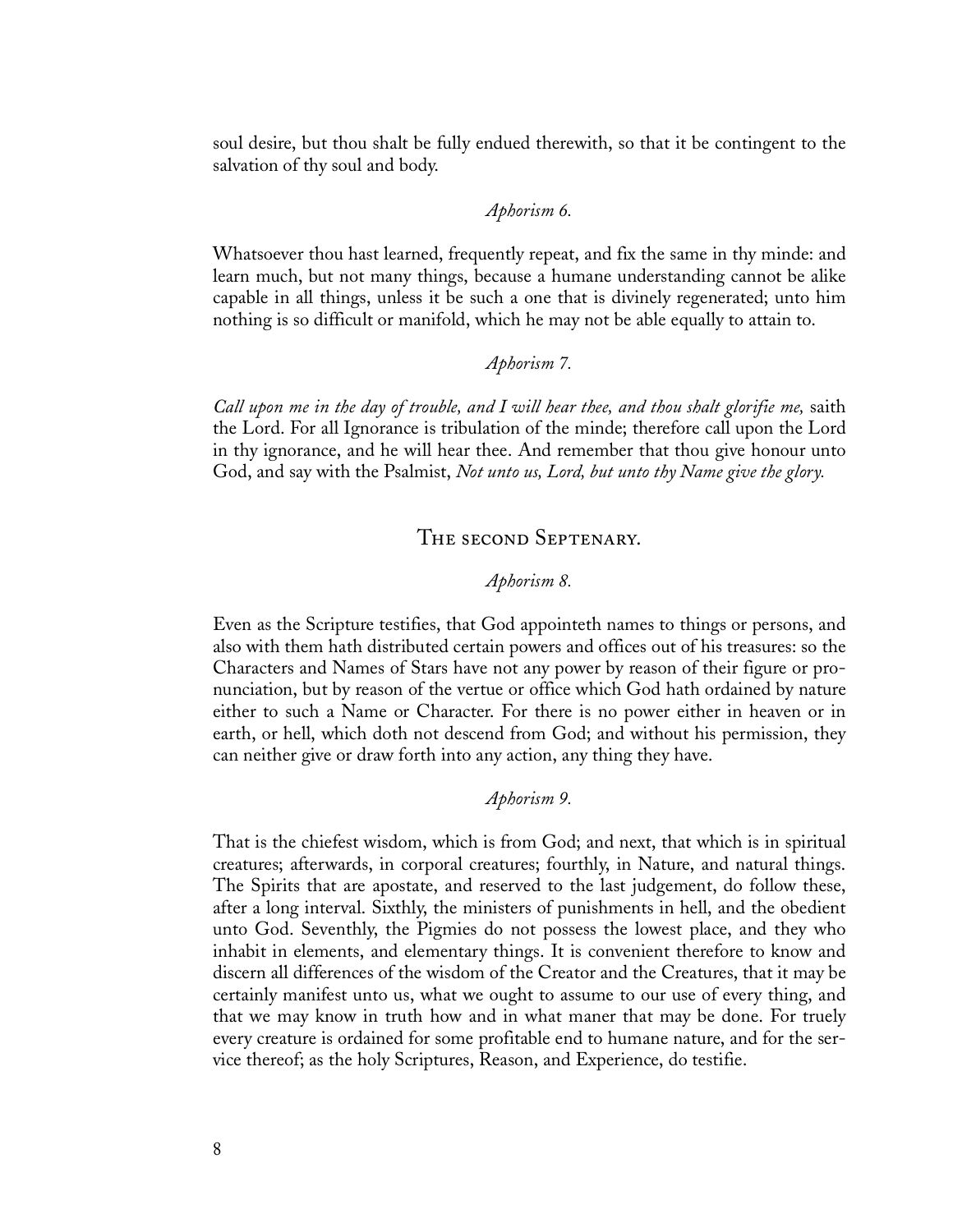soul desire, but thou shalt be fully endued therewith, so that it be contingent to the salvation of thy soul and body.

#### *Aphorism 6.*

Whatsoever thou hast learned, frequently repeat, and fix the same in thy minde: and learn much, but not many things, because a humane understanding cannot be alike capable in all things, unless it be such a one that is divinely regenerated; unto him nothing is so difficult or manifold, which he may not be able equally to attain to.

#### *Aphorism 7.*

*Call upon me in the day of trouble, and I will hear thee, and thou shalt glorifie me,* saith the Lord. For all Ignorance is tribulation of the minde; therefore call upon the Lord in thy ignorance, and he will hear thee. And remember that thou give honour unto God, and say with the Psalmist, *Not unto us, Lord, but unto thy Name give the glory.*

# The second Septenary.

#### *Aphorism 8.*

Even as the Scripture testifies, that God appointeth names to things or persons, and also with them hath distributed certain powers and offices out of his treasures: so the Characters and Names of Stars have not any power by reason of their figure or pronunciation, but by reason of the vertue or office which God hath ordained by nature either to such a Name or Character. For there is no power either in heaven or in earth, or hell, which doth not descend from God; and without his permission, they can neither give or draw forth into any action, any thing they have.

# *Aphorism 9.*

That is the chiefest wisdom, which is from God; and next, that which is in spiritual creatures; afterwards, in corporal creatures; fourthly, in Nature, and natural things. The Spirits that are apostate, and reserved to the last judgement, do follow these, after a long interval. Sixthly, the ministers of punishments in hell, and the obedient unto God. Seventhly, the Pigmies do not possess the lowest place, and they who inhabit in elements, and elementary things. It is convenient therefore to know and discern all differences of the wisdom of the Creator and the Creatures, that it may be certainly manifest unto us, what we ought to assume to our use of every thing, and that we may know in truth how and in what maner that may be done. For truely every creature is ordained for some profitable end to humane nature, and for the service thereof; as the holy Scriptures, Reason, and Experience, do testifie.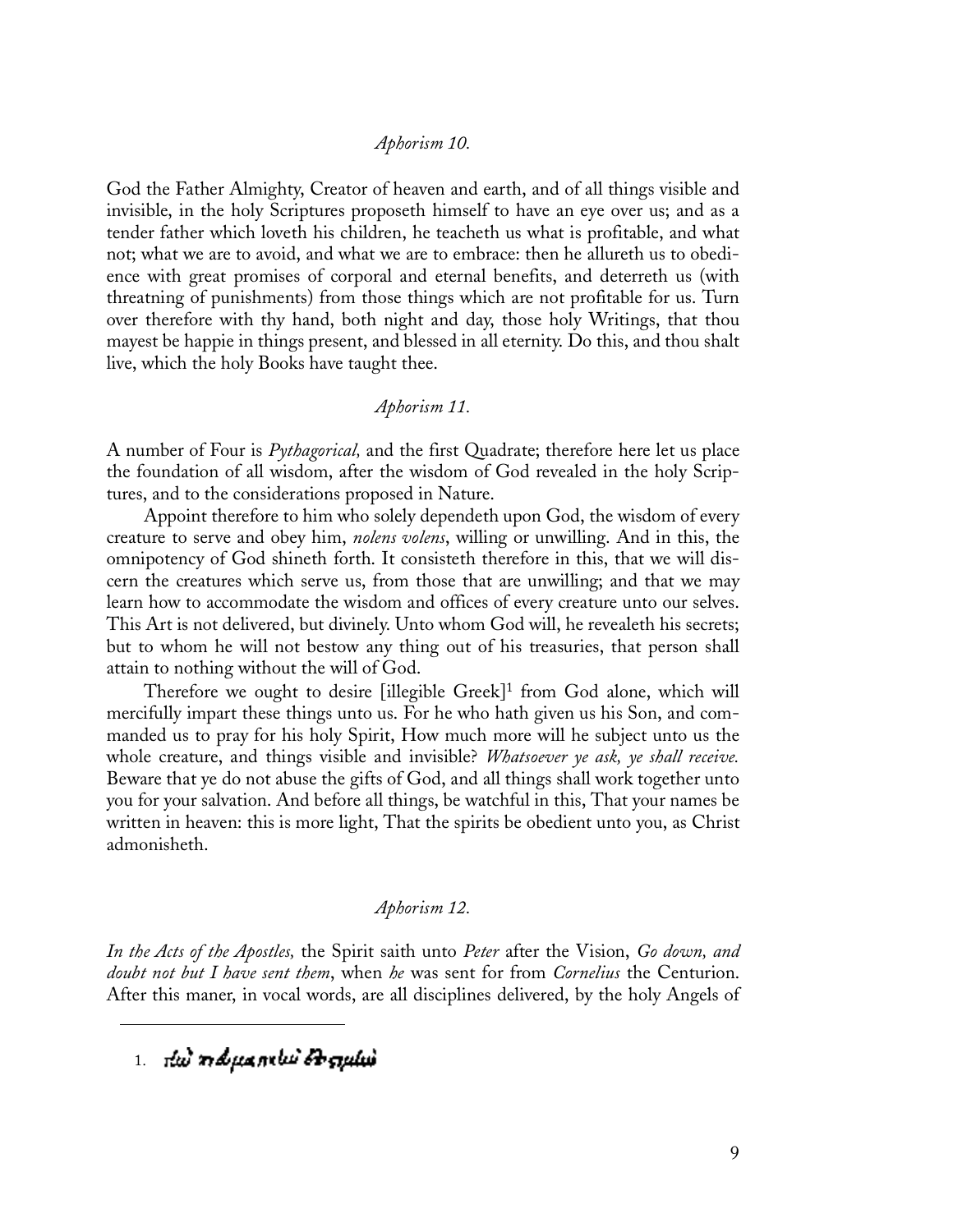#### *Aphorism 10.*

God the Father Almighty, Creator of heaven and earth, and of all things visible and invisible, in the holy Scriptures proposeth himself to have an eye over us; and as a tender father which loveth his children, he teacheth us what is profitable, and what not; what we are to avoid, and what we are to embrace: then he allureth us to obedience with great promises of corporal and eternal benefits, and deterreth us (with threatning of punishments) from those things which are not profitable for us. Turn over therefore with thy hand, both night and day, those holy Writings, that thou mayest be happie in things present, and blessed in all eternity. Do this, and thou shalt live, which the holy Books have taught thee.

# *Aphorism 11.*

A number of Four is *Pythagorical,* and the first Quadrate; therefore here let us place the foundation of all wisdom, after the wisdom of God revealed in the holy Scriptures, and to the considerations proposed in Nature.

Appoint therefore to him who solely dependeth upon God, the wisdom of every creature to serve and obey him, *nolens volens*, willing or unwilling. And in this, the omnipotency of God shineth forth. It consisteth therefore in this, that we will discern the creatures which serve us, from those that are unwilling; and that we may learn how to accommodate the wisdom and offices of every creature unto our selves. This Art is not delivered, but divinely. Unto whom God will, he revealeth his secrets; but to whom he will not bestow any thing out of his treasuries, that person shall attain to nothing without the will of God.

Therefore we ought to desire [illegible Greek]<sup>1</sup> from God alone, which will mercifully impart these things unto us. For he who hath given us his Son, and commanded us to pray for his holy Spirit, How much more will he subject unto us the whole creature, and things visible and invisible? *Whatsoever ye ask, ye shall receive.* Beware that ye do not abuse the gifts of God, and all things shall work together unto you for your salvation. And before all things, be watchful in this, That your names be written in heaven: this is more light, That the spirits be obedient unto you, as Christ admonisheth.

#### *Aphorism 12.*

*In the Acts of the Apostles,* the Spirit saith unto *Peter* after the Vision, *Go down, and doubt not but I have sent them*, when *he* was sent for from *Cornelius* the Centurion. After this maner, in vocal words, are all disciplines delivered, by the holy Angels of

1. da na pandu Baptu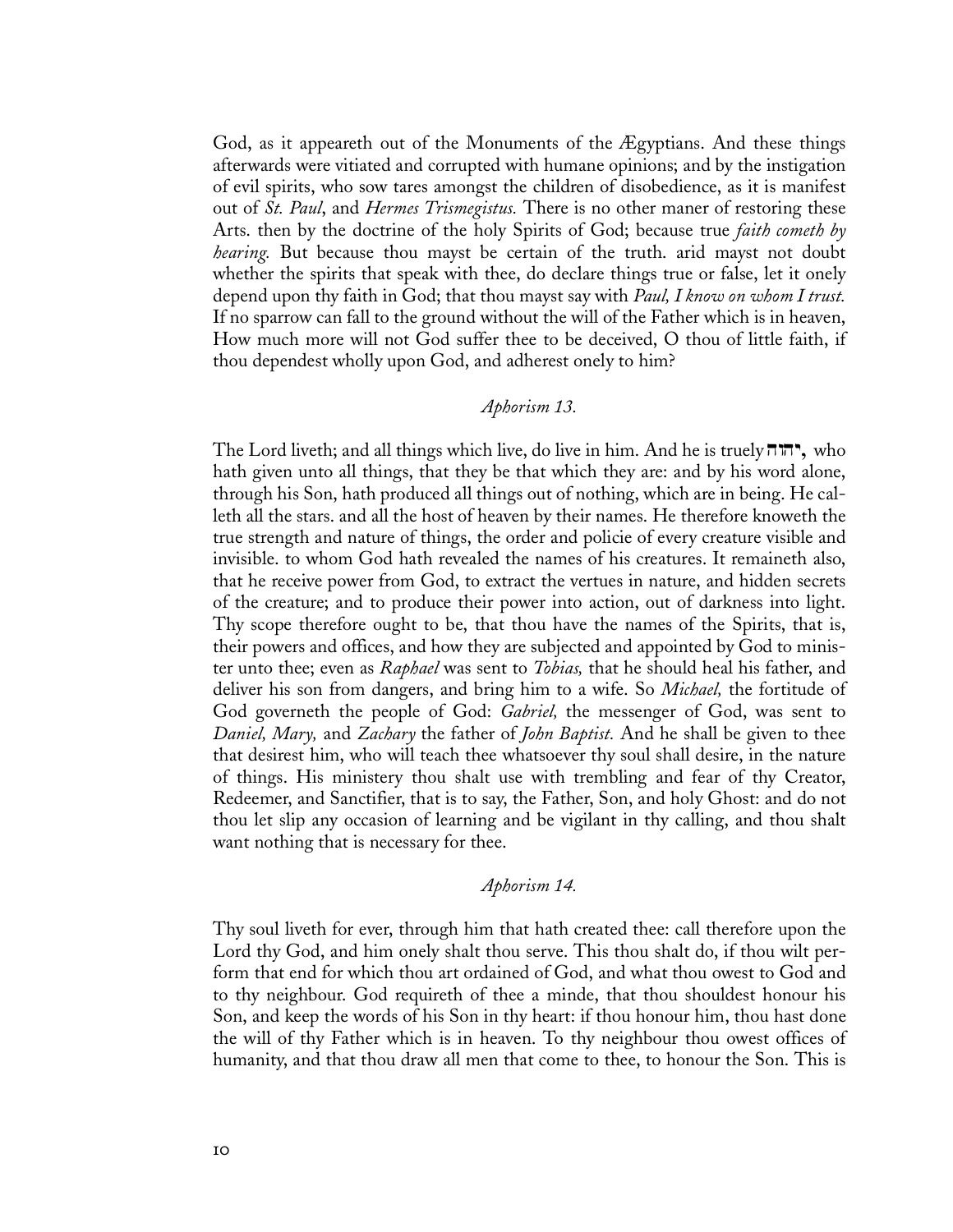God, as it appeareth out of the Monuments of the Ægyptians. And these things afterwards were vitiated and corrupted with humane opinions; and by the instigation of evil spirits, who sow tares amongst the children of disobedience, as it is manifest out of *St. Paul*, and *Hermes Trismegistus.* There is no other maner of restoring these Arts. then by the doctrine of the holy Spirits of God; because true *faith cometh by hearing.* But because thou mayst be certain of the truth. arid mayst not doubt whether the spirits that speak with thee, do declare things true or false, let it onely depend upon thy faith in God; that thou mayst say with *Paul, I know on whom I trust.* If no sparrow can fall to the ground without the will of the Father which is in heaven, How much more will not God suffer thee to be deceived, O thou of little faith, if thou dependest wholly upon God, and adherest onely to him?

# *Aphorism 13.*

The Lord liveth; and all things which live, do live in him. And he is truely  $\pi \pi$ , who hath given unto all things, that they be that which they are: and by his word alone, through his Son, hath produced all things out of nothing, which are in being. He calleth all the stars. and all the host of heaven by their names. He therefore knoweth the true strength and nature of things, the order and policie of every creature visible and invisible. to whom God hath revealed the names of his creatures. It remaineth also, that he receive power from God, to extract the vertues in nature, and hidden secrets of the creature; and to produce their power into action, out of darkness into light. Thy scope therefore ought to be, that thou have the names of the Spirits, that is, their powers and offices, and how they are subjected and appointed by God to minister unto thee; even as *Raphael* was sent to *Tobias,* that he should heal his father, and deliver his son from dangers, and bring him to a wife. So *Michael,* the fortitude of God governeth the people of God: *Gabriel,* the messenger of God, was sent to *Daniel, Mary,* and *Zachary* the father of *John Baptist.* And he shall be given to thee that desirest him, who will teach thee whatsoever thy soul shall desire, in the nature of things. His ministery thou shalt use with trembling and fear of thy Creator, Redeemer, and Sanctifier, that is to say, the Father, Son, and holy Ghost: and do not thou let slip any occasion of learning and be vigilant in thy calling, and thou shalt want nothing that is necessary for thee.

# *Aphorism 14.*

Thy soul liveth for ever, through him that hath created thee: call therefore upon the Lord thy God, and him onely shalt thou serve. This thou shalt do, if thou wilt perform that end for which thou art ordained of God, and what thou owest to God and to thy neighbour. God requireth of thee a minde, that thou shouldest honour his Son, and keep the words of his Son in thy heart: if thou honour him, thou hast done the will of thy Father which is in heaven. To thy neighbour thou owest offices of humanity, and that thou draw all men that come to thee, to honour the Son. This is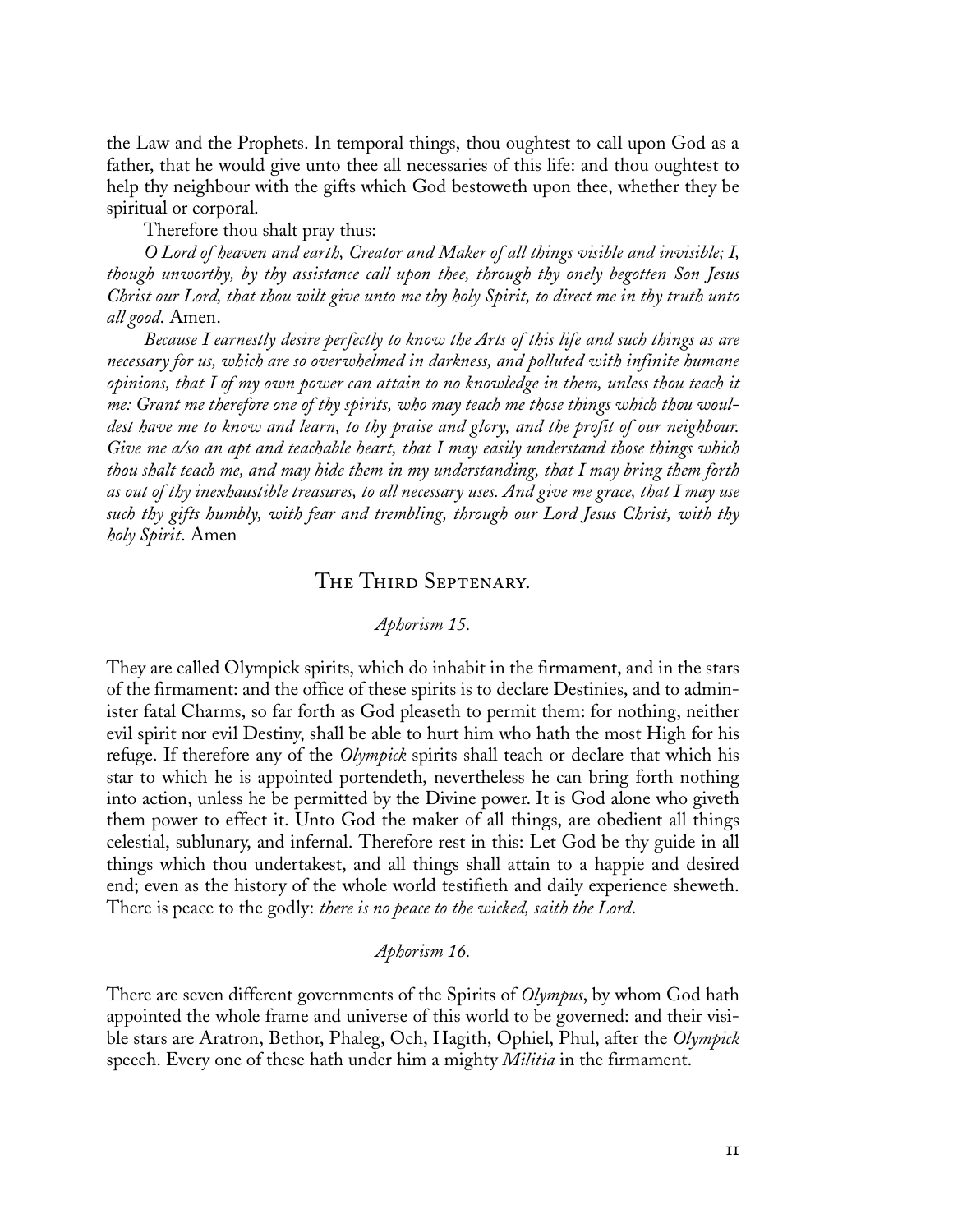the Law and the Prophets. In temporal things, thou oughtest to call upon God as a father, that he would give unto thee all necessaries of this life: and thou oughtest to help thy neighbour with the gifts which God bestoweth upon thee, whether they be spiritual or corporal.

#### Therefore thou shalt pray thus:

*O Lord of heaven and earth, Creator and Maker of all things visible and invisible; I, though unworthy, by thy assistance call upon thee, through thy onely begotten Son Jesus Christ our Lord, that thou wilt give unto me thy holy Spirit, to direct me in thy truth unto all good*. Amen.

*Because I earnestly desire perfectly to know the Arts of this life and such things as are necessary for us, which are so overwhelmed in darkness, and polluted with infinite humane opinions, that I of my own power can attain to no knowledge in them, unless thou teach it me: Grant me therefore one of thy spirits, who may teach me those things which thou wouldest have me to know and learn, to thy praise and glory, and the profit of our neighbour. Give me a/so an apt and teachable heart, that I may easily understand those things which thou shalt teach me, and may hide them in my understanding, that I may bring them forth as out of thy inexhaustible treasures, to all necessary uses. And give me grace, that I may use such thy gifts humbly, with fear and trembling, through our Lord Jesus Christ, with thy holy Spirit*. Amen

# The Third Septenary.

# *Aphorism 15.*

They are called Olympick spirits, which do inhabit in the firmament, and in the stars of the firmament: and the office of these spirits is to declare Destinies, and to administer fatal Charms, so far forth as God pleaseth to permit them: for nothing, neither evil spirit nor evil Destiny, shall be able to hurt him who hath the most High for his refuge. If therefore any of the *Olympick* spirits shall teach or declare that which his star to which he is appointed portendeth, nevertheless he can bring forth nothing into action, unless he be permitted by the Divine power. It is God alone who giveth them power to effect it. Unto God the maker of all things, are obedient all things celestial, sublunary, and infernal. Therefore rest in this: Let God be thy guide in all things which thou undertakest, and all things shall attain to a happie and desired end; even as the history of the whole world testifieth and daily experience sheweth. There is peace to the godly: *there is no peace to the wicked, saith the Lord*.

#### *Aphorism 16.*

There are seven different governments of the Spirits of *Olympus*, by whom God hath appointed the whole frame and universe of this world to be governed: and their visible stars are Aratron, Bethor, Phaleg, Och, Hagith, Ophiel, Phul, after the *Olympick* speech. Every one of these hath under him a mighty *Militia* in the firmament.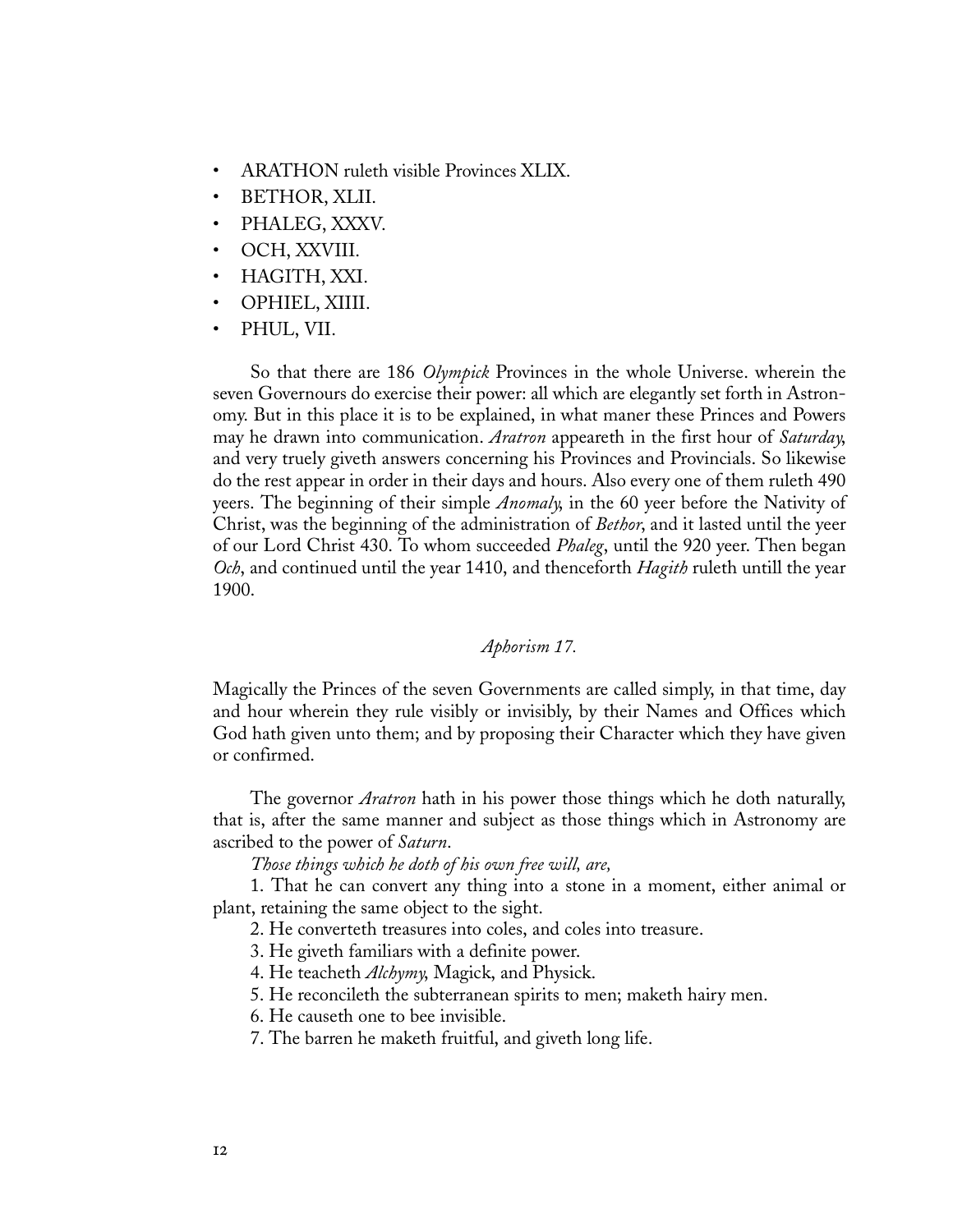- ARATHON ruleth visible Provinces XLIX.
- BETHOR, XLII.
- PHALEG, XXXV.
- OCH, XXVIII.
- HAGITH, XXI.
- OPHIEL, XIIII.
- PHUL, VII.

So that there are 186 *Olympick* Provinces in the whole Universe. wherein the seven Governours do exercise their power: all which are elegantly set forth in Astronomy. But in this place it is to be explained, in what maner these Princes and Powers may he drawn into communication. *Aratron* appeareth in the first hour of *Saturday*, and very truely giveth answers concerning his Provinces and Provincials. So likewise do the rest appear in order in their days and hours. Also every one of them ruleth 490 yeers. The beginning of their simple *Anomaly*, in the 60 yeer before the Nativity of Christ, was the beginning of the administration of *Bethor*, and it lasted until the yeer of our Lord Christ 430. To whom succeeded *Phaleg*, until the 920 yeer. Then began *Och*, and continued until the year 1410, and thenceforth *Hagith* ruleth untill the year 1900.

#### *Aphorism 17.*

Magically the Princes of the seven Governments are called simply, in that time, day and hour wherein they rule visibly or invisibly, by their Names and Offices which God hath given unto them; and by proposing their Character which they have given or confirmed.

The governor *Aratron* hath in his power those things which he doth naturally, that is, after the same manner and subject as those things which in Astronomy are ascribed to the power of *Saturn*.

*Those things which he doth of his own free will, are,*

1. That he can convert any thing into a stone in a moment, either animal or plant, retaining the same object to the sight.

2. He converteth treasures into coles, and coles into treasure.

3. He giveth familiars with a definite power.

4. He teacheth *Alchymy*, Magick, and Physick.

5. He reconcileth the subterranean spirits to men; maketh hairy men.

6. He causeth one to bee invisible.

7. The barren he maketh fruitful, and giveth long life.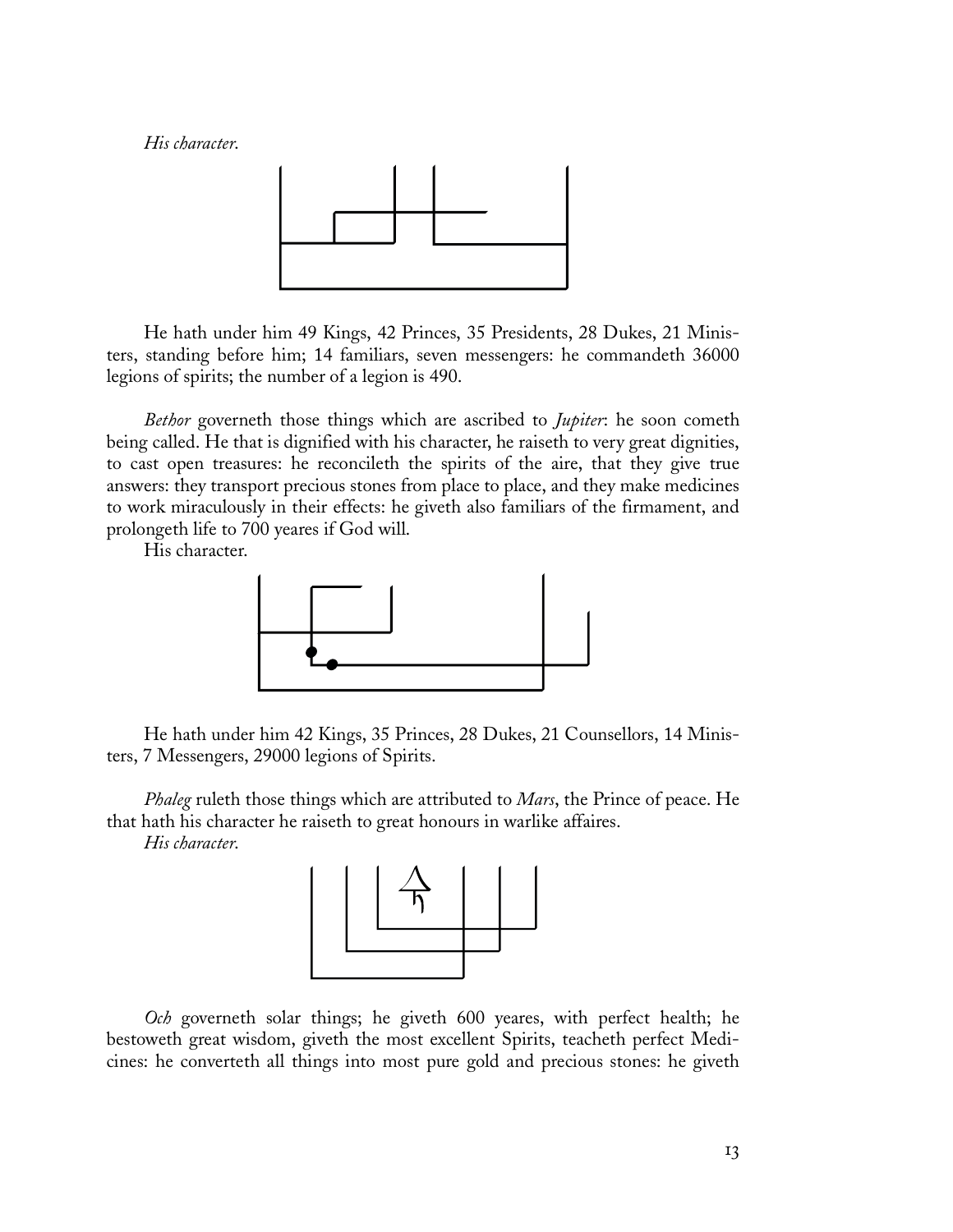*His character*.



He hath under him 49 Kings, 42 Princes, 35 Presidents, 28 Dukes, 21 Ministers, standing before him; 14 familiars, seven messengers: he commandeth 36000 legions of spirits; the number of a legion is 490.

*Bethor* governeth those things which are ascribed to *Jupiter*: he soon cometh being called. He that is dignified with his character, he raiseth to very great dignities, to cast open treasures: he reconcileth the spirits of the aire, that they give true answers: they transport precious stones from place to place, and they make medicines to work miraculously in their effects: he giveth also familiars of the firmament, and prolongeth life to 700 yeares if God will.

His character.



He hath under him 42 Kings, 35 Princes, 28 Dukes, 21 Counsellors, 14 Ministers, 7 Messengers, 29000 legions of Spirits.

*Phaleg* ruleth those things which are attributed to *Mars*, the Prince of peace. He that hath his character he raiseth to great honours in warlike affaires.

*His character*.



*Och* governeth solar things; he giveth 600 yeares, with perfect health; he bestoweth great wisdom, giveth the most excellent Spirits, teacheth perfect Medicines: he converteth all things into most pure gold and precious stones: he giveth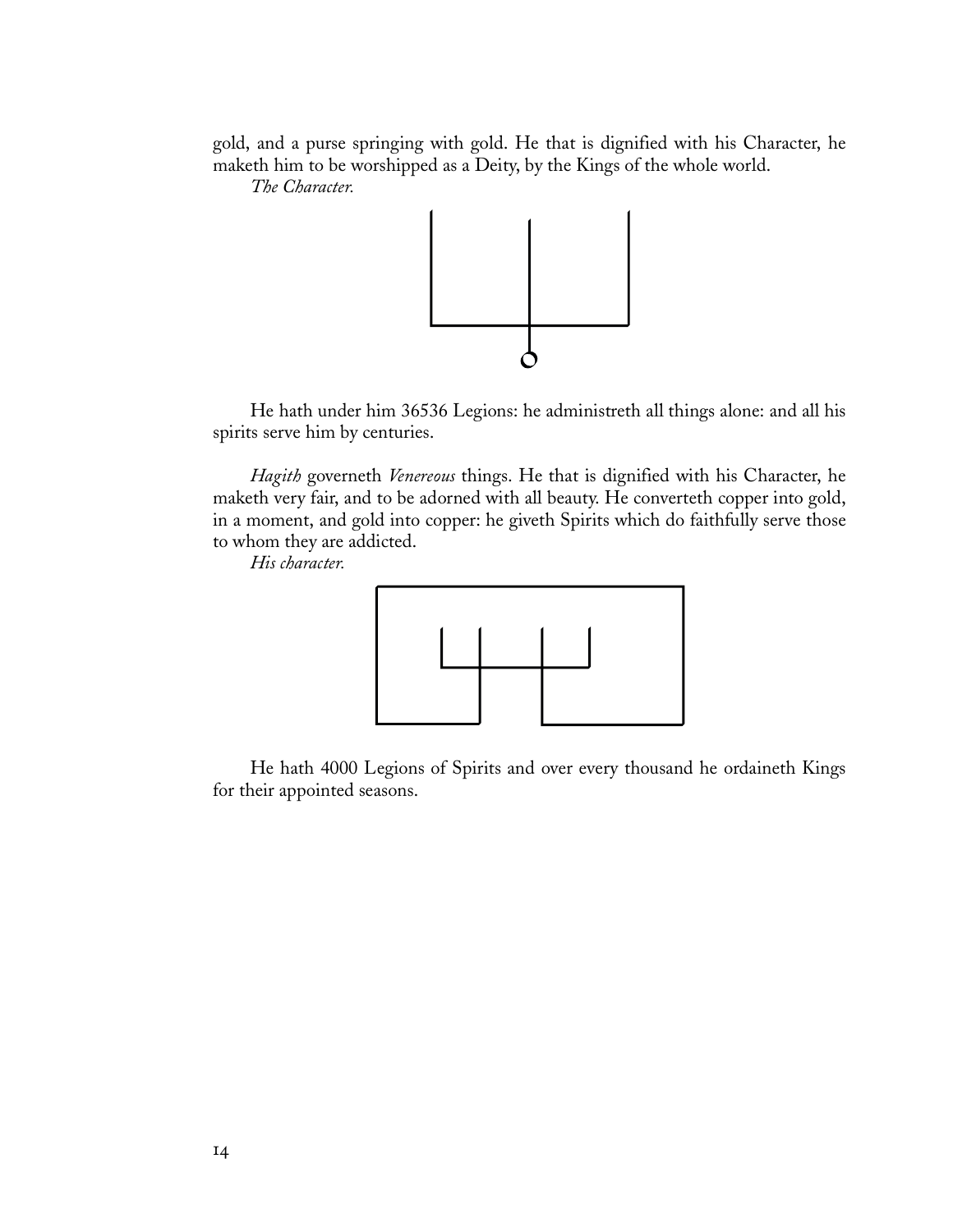gold, and a purse springing with gold. He that is dignified with his Character, he maketh him to be worshipped as a Deity, by the Kings of the whole world.

*The Character.*



He hath under him 36536 Legions: he administreth all things alone: and all his spirits serve him by centuries.

*Hagith* governeth *Venereous* things. He that is dignified with his Character, he maketh very fair, and to be adorned with all beauty. He converteth copper into gold, in a moment, and gold into copper: he giveth Spirits which do faithfully serve those to whom they are addicted.

*His character.*



He hath 4000 Legions of Spirits and over every thousand he ordaineth Kings for their appointed seasons.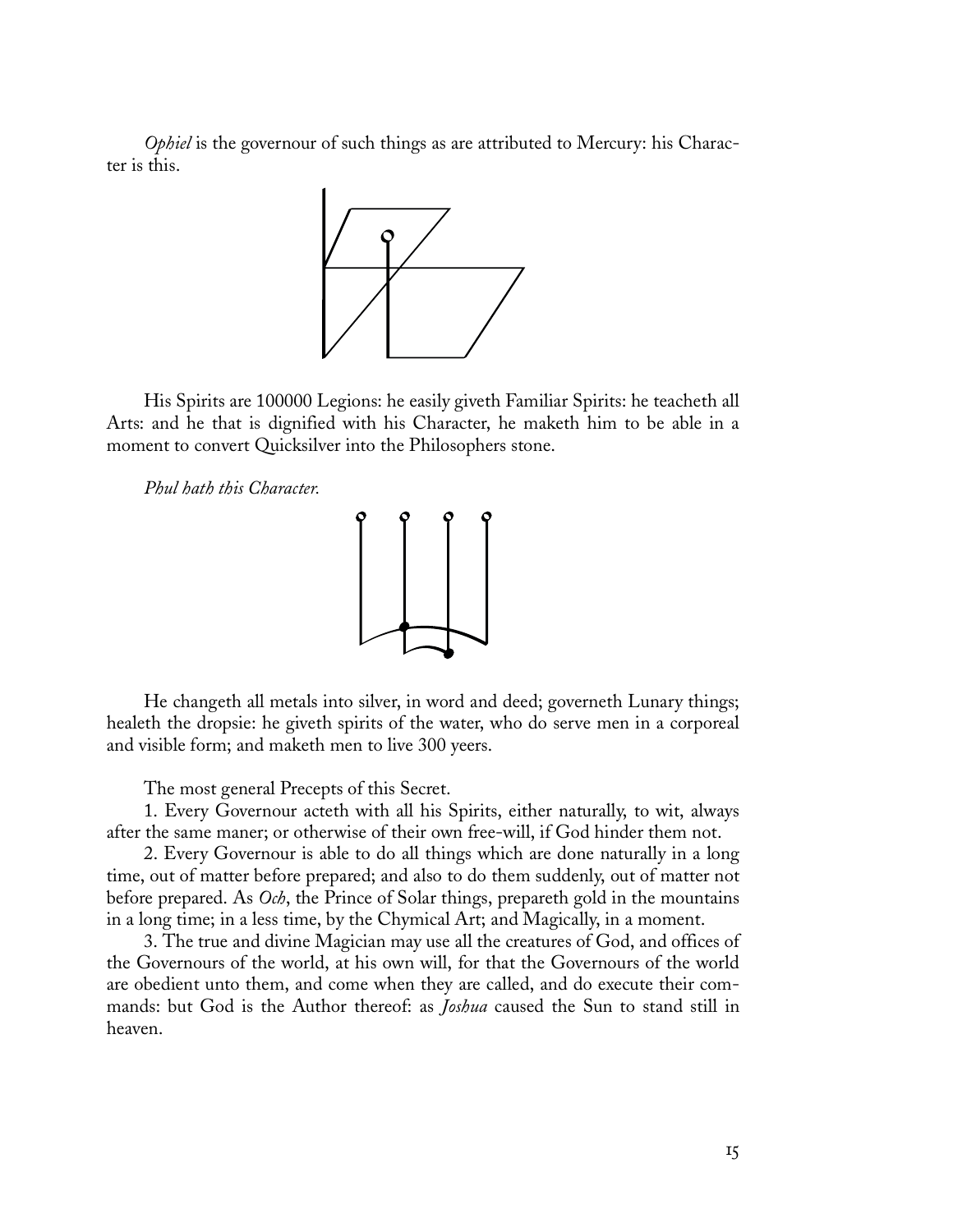*Ophiel* is the governour of such things as are attributed to Mercury: his Character is this.



His Spirits are 100000 Legions: he easily giveth Familiar Spirits: he teacheth all Arts: and he that is dignified with his Character, he maketh him to be able in a moment to convert Quicksilver into the Philosophers stone.

*Phul hath this Character.*



He changeth all metals into silver, in word and deed; governeth Lunary things; healeth the dropsie: he giveth spirits of the water, who do serve men in a corporeal and visible form; and maketh men to live 300 yeers.

The most general Precepts of this Secret.

1. Every Governour acteth with all his Spirits, either naturally, to wit, always after the same maner; or otherwise of their own free-will, if God hinder them not.

2. Every Governour is able to do all things which are done naturally in a long time, out of matter before prepared; and also to do them suddenly, out of matter not before prepared. As *Och*, the Prince of Solar things, prepareth gold in the mountains in a long time; in a less time, by the Chymical Art; and Magically, in a moment.

3. The true and divine Magician may use all the creatures of God, and offices of the Governours of the world, at his own will, for that the Governours of the world are obedient unto them, and come when they are called, and do execute their commands: but God is the Author thereof: as *Joshua* caused the Sun to stand still in heaven.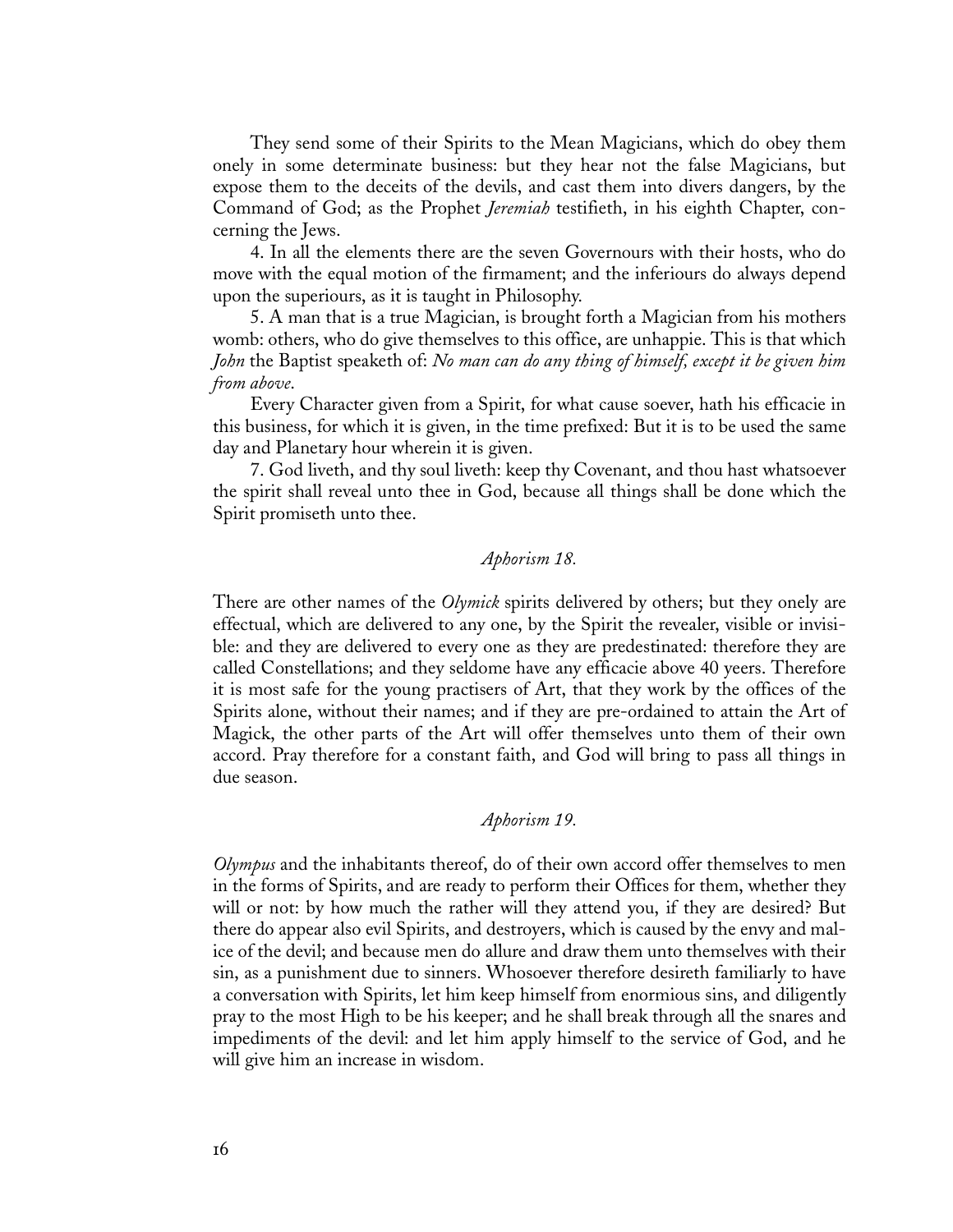They send some of their Spirits to the Mean Magicians, which do obey them onely in some determinate business: but they hear not the false Magicians, but expose them to the deceits of the devils, and cast them into divers dangers, by the Command of God; as the Prophet *Jeremiah* testifieth, in his eighth Chapter, concerning the Jews.

4. In all the elements there are the seven Governours with their hosts, who do move with the equal motion of the firmament; and the inferiours do always depend upon the superiours, as it is taught in Philosophy.

5. A man that is a true Magician, is brought forth a Magician from his mothers womb: others, who do give themselves to this office, are unhappie. This is that which *John* the Baptist speaketh of: *No man can do any thing of himself, except it be given him from above*.

Every Character given from a Spirit, for what cause soever, hath his efficacie in this business, for which it is given, in the time prefixed: But it is to be used the same day and Planetary hour wherein it is given.

7. God liveth, and thy soul liveth: keep thy Covenant, and thou hast whatsoever the spirit shall reveal unto thee in God, because all things shall be done which the Spirit promiseth unto thee.

# *Aphorism 18.*

There are other names of the *Olymick* spirits delivered by others; but they onely are effectual, which are delivered to any one, by the Spirit the revealer, visible or invisible: and they are delivered to every one as they are predestinated: therefore they are called Constellations; and they seldome have any efficacie above 40 yeers. Therefore it is most safe for the young practisers of Art, that they work by the offices of the Spirits alone, without their names; and if they are pre-ordained to attain the Art of Magick, the other parts of the Art will offer themselves unto them of their own accord. Pray therefore for a constant faith, and God will bring to pass all things in due season.

#### *Aphorism 19.*

*Olympus* and the inhabitants thereof, do of their own accord offer themselves to men in the forms of Spirits, and are ready to perform their Offices for them, whether they will or not: by how much the rather will they attend you, if they are desired? But there do appear also evil Spirits, and destroyers, which is caused by the envy and malice of the devil; and because men do allure and draw them unto themselves with their sin, as a punishment due to sinners. Whosoever therefore desireth familiarly to have a conversation with Spirits, let him keep himself from enormious sins, and diligently pray to the most High to be his keeper; and he shall break through all the snares and impediments of the devil: and let him apply himself to the service of God, and he will give him an increase in wisdom.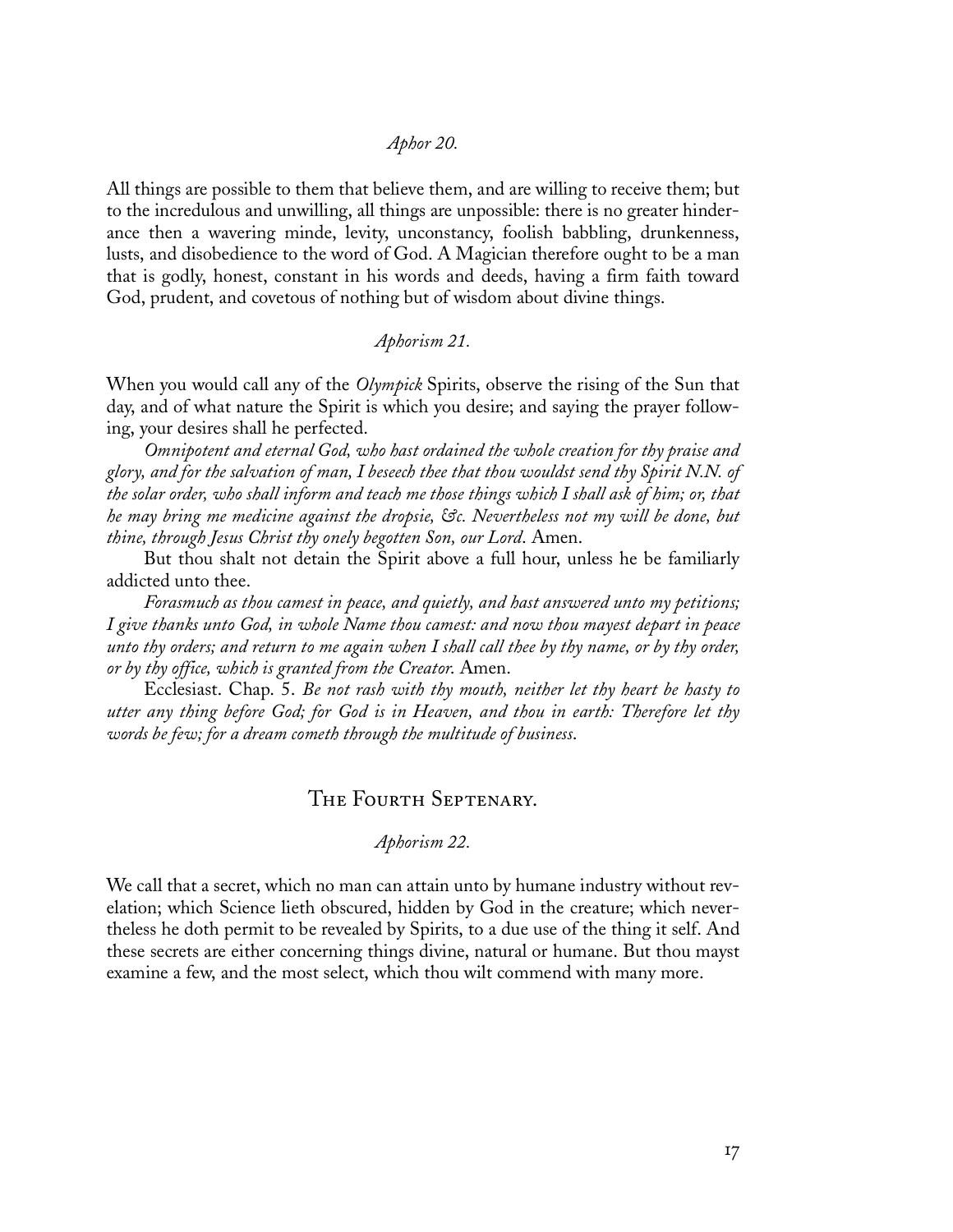#### *Aphor 20.*

All things are possible to them that believe them, and are willing to receive them; but to the incredulous and unwilling, all things are unpossible: there is no greater hinderance then a wavering minde, levity, unconstancy, foolish babbling, drunkenness, lusts, and disobedience to the word of God. A Magician therefore ought to be a man that is godly, honest, constant in his words and deeds, having a firm faith toward God, prudent, and covetous of nothing but of wisdom about divine things.

#### *Aphorism 21.*

When you would call any of the *Olympick* Spirits, observe the rising of the Sun that day, and of what nature the Spirit is which you desire; and saying the prayer following, your desires shall he perfected.

*Omnipotent and eternal God, who hast ordained the whole creation for thy praise and glory, and for the salvation of man, I beseech thee that thou wouldst send thy Spirit N.N. of the solar order, who shall inform and teach me those things which I shall ask of him; or, that he may bring me medicine against the dropsie, &c. Nevertheless not my will be done, but thine, through Jesus Christ thy onely begotten Son, our Lord*. Amen.

But thou shalt not detain the Spirit above a full hour, unless he be familiarly addicted unto thee.

*Forasmuch as thou camest in peace, and quietly, and hast answered unto my petitions; I give thanks unto God, in whole Name thou camest: and now thou mayest depart in peace unto thy orders; and return to me again when I shall call thee by thy name, or by thy order, or by thy office, which is granted from the Creator*. Amen.

Ecclesiast. Chap. 5. *Be not rash with thy mouth, neither let thy heart be hasty to utter any thing before God; for God is in Heaven, and thou in earth: Therefore let thy words be few; for a dream cometh through the multitude of business*.

# The Fourth Septenary.

#### *Aphorism 22.*

We call that a secret, which no man can attain unto by humane industry without revelation; which Science lieth obscured, hidden by God in the creature; which nevertheless he doth permit to be revealed by Spirits, to a due use of the thing it self. And these secrets are either concerning things divine, natural or humane. But thou mayst examine a few, and the most select, which thou wilt commend with many more.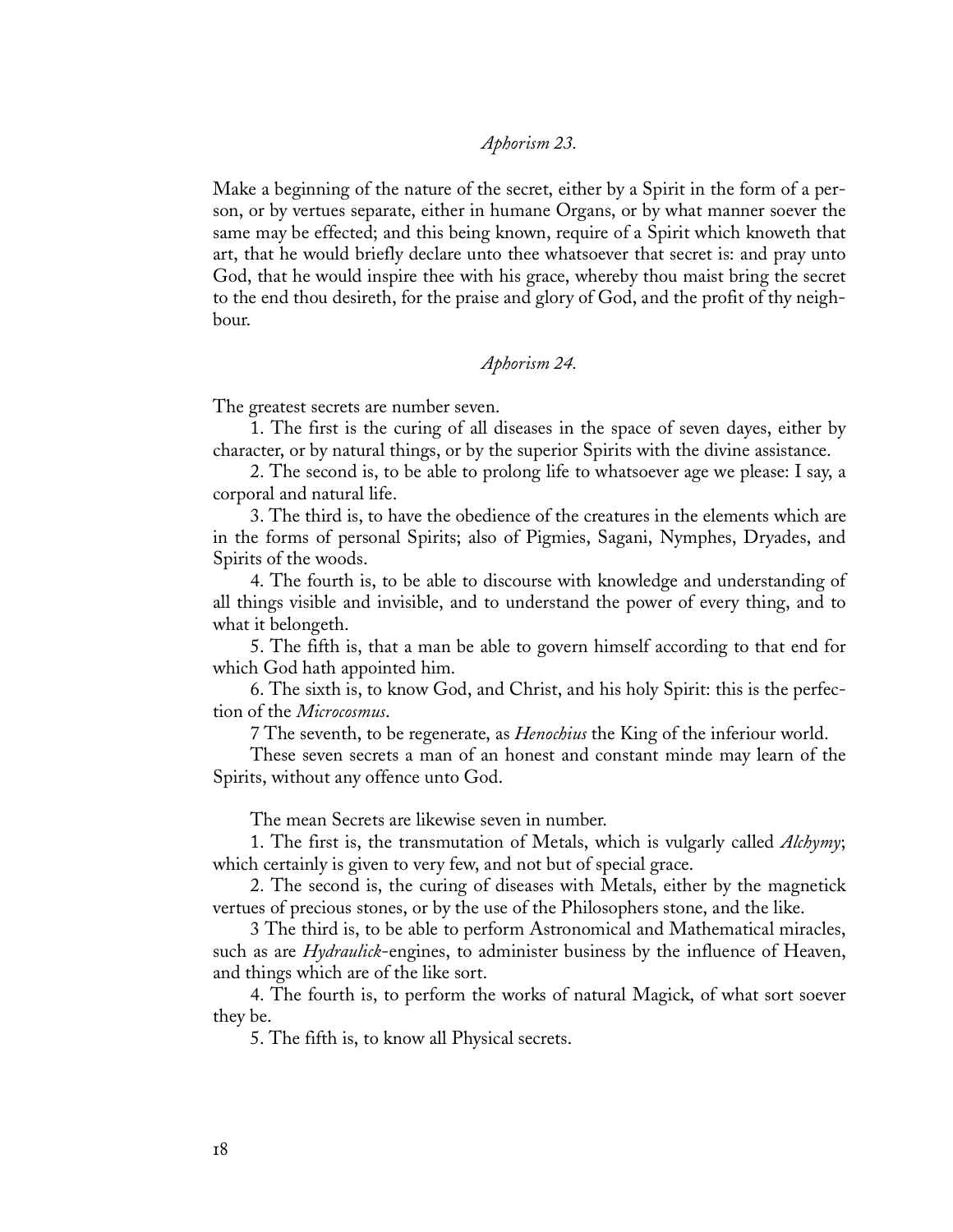#### *Aphorism 23.*

Make a beginning of the nature of the secret, either by a Spirit in the form of a person, or by vertues separate, either in humane Organs, or by what manner soever the same may be effected; and this being known, require of a Spirit which knoweth that art, that he would briefly declare unto thee whatsoever that secret is: and pray unto God, that he would inspire thee with his grace, whereby thou maist bring the secret to the end thou desireth, for the praise and glory of God, and the profit of thy neighbour.

#### *Aphorism 24.*

The greatest secrets are number seven.

1. The first is the curing of all diseases in the space of seven dayes, either by character, or by natural things, or by the superior Spirits with the divine assistance.

2. The second is, to be able to prolong life to whatsoever age we please: I say, a corporal and natural life.

3. The third is, to have the obedience of the creatures in the elements which are in the forms of personal Spirits; also of Pigmies, Sagani, Nymphes, Dryades, and Spirits of the woods.

4. The fourth is, to be able to discourse with knowledge and understanding of all things visible and invisible, and to understand the power of every thing, and to what it belongeth.

5. The fifth is, that a man be able to govern himself according to that end for which God hath appointed him.

6. The sixth is, to know God, and Christ, and his holy Spirit: this is the perfection of the *Microcosmus*.

7 The seventh, to be regenerate, as *Henochius* the King of the inferiour world.

These seven secrets a man of an honest and constant minde may learn of the Spirits, without any offence unto God.

The mean Secrets are likewise seven in number.

1. The first is, the transmutation of Metals, which is vulgarly called *Alchymy*; which certainly is given to very few, and not but of special grace.

2. The second is, the curing of diseases with Metals, either by the magnetick vertues of precious stones, or by the use of the Philosophers stone, and the like.

3 The third is, to be able to perform Astronomical and Mathematical miracles, such as are *Hydraulick*-engines, to administer business by the influence of Heaven, and things which are of the like sort.

4. The fourth is, to perform the works of natural Magick, of what sort soever they be.

5. The fifth is, to know all Physical secrets.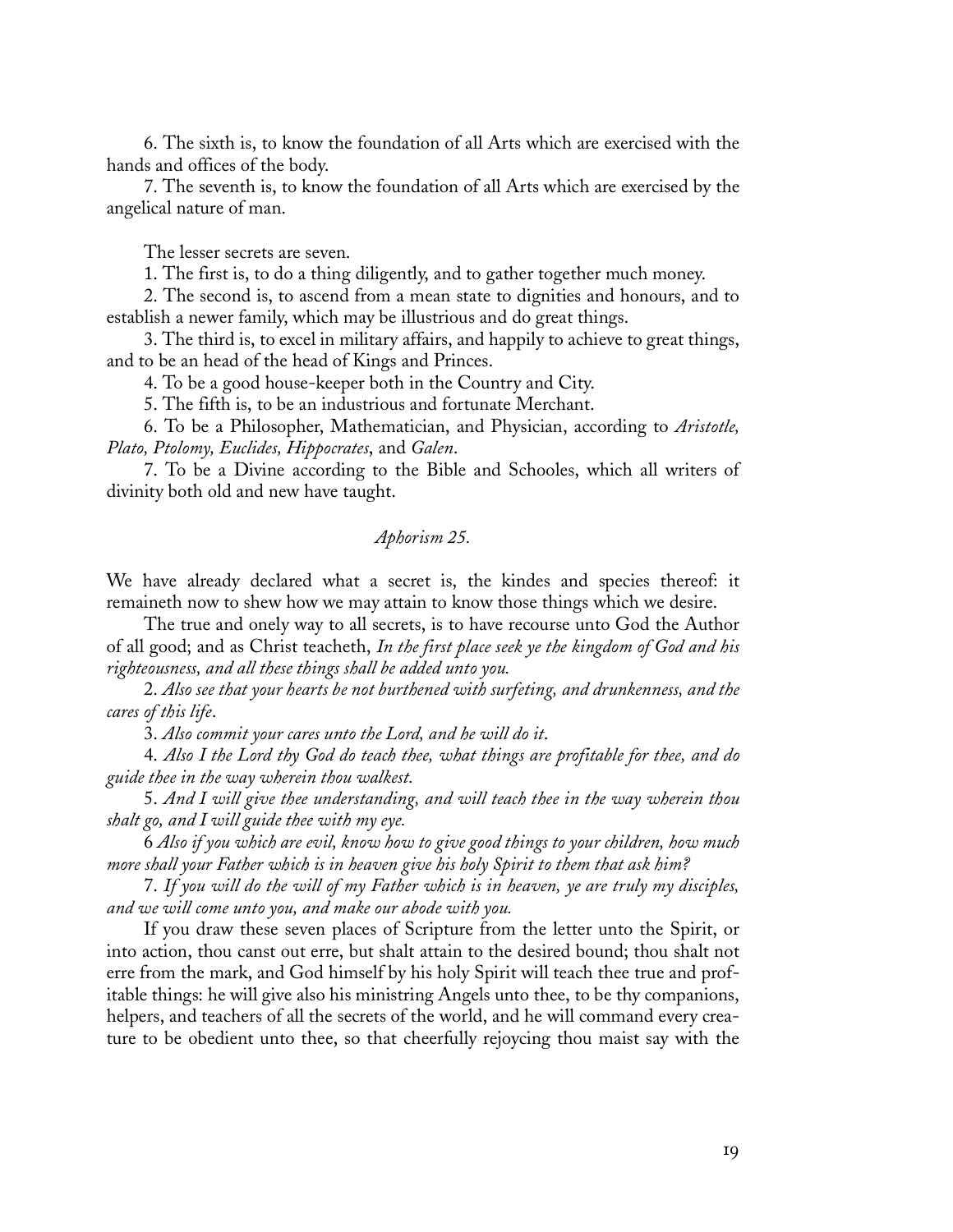6. The sixth is, to know the foundation of all Arts which are exercised with the hands and offices of the body.

7. The seventh is, to know the foundation of all Arts which are exercised by the angelical nature of man.

The lesser secrets are seven.

1. The first is, to do a thing diligently, and to gather together much money.

2. The second is, to ascend from a mean state to dignities and honours, and to establish a newer family, which may be illustrious and do great things.

3. The third is, to excel in military affairs, and happily to achieve to great things, and to be an head of the head of Kings and Princes.

4. To be a good house-keeper both in the Country and City.

5. The fifth is, to be an industrious and fortunate Merchant.

6. To be a Philosopher, Mathematician, and Physician, according to *Aristotle, Plato, Ptolomy, Euclides, Hippocrates*, and *Galen*.

7. To be a Divine according to the Bible and Schooles, which all writers of divinity both old and new have taught.

#### *Aphorism 25.*

We have already declared what a secret is, the kindes and species thereof: it remaineth now to shew how we may attain to know those things which we desire.

The true and onely way to all secrets, is to have recourse unto God the Author of all good; and as Christ teacheth, *In the first place seek ye the kingdom of God and his righteousness, and all these things shall be added unto you.*

2. *Also see that your hearts be not burthened with surfeting, and drunkenness, and the cares of this life*.

3. *Also commit your cares unto the Lord, and he will do it*.

4. *Also I the Lord thy God do teach thee, what things are profitable for thee, and do guide thee in the way wherein thou walkest.*

5. *And I will give thee understanding, and will teach thee in the way wherein thou shalt go, and I will guide thee with my eye.*

6 *Also if you which are evil, know how to give good things to your children, how much more shall your Father which is in heaven give his holy Spirit to them that ask him?*

7. *If you will do the will of my Father which is in heaven, ye are truly my disciples, and we will come unto you, and make our abode with you.*

If you draw these seven places of Scripture from the letter unto the Spirit, or into action, thou canst out erre, but shalt attain to the desired bound; thou shalt not erre from the mark, and God himself by his holy Spirit will teach thee true and profitable things: he will give also his ministring Angels unto thee, to be thy companions, helpers, and teachers of all the secrets of the world, and he will command every creature to be obedient unto thee, so that cheerfully rejoycing thou maist say with the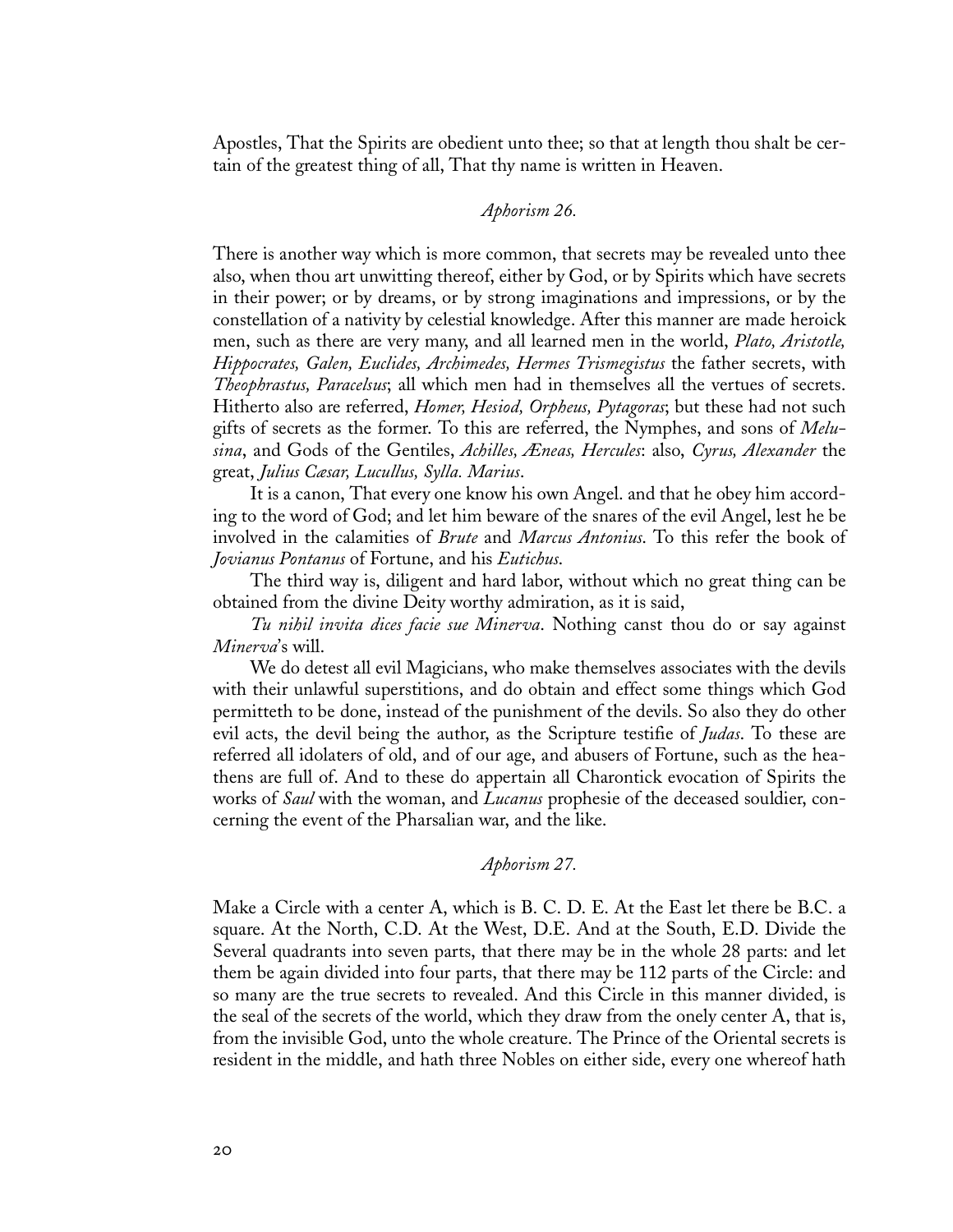Apostles, That the Spirits are obedient unto thee; so that at length thou shalt be certain of the greatest thing of all, That thy name is written in Heaven.

#### *Aphorism 26.*

There is another way which is more common, that secrets may be revealed unto thee also, when thou art unwitting thereof, either by God, or by Spirits which have secrets in their power; or by dreams, or by strong imaginations and impressions, or by the constellation of a nativity by celestial knowledge. After this manner are made heroick men, such as there are very many, and all learned men in the world, *Plato, Aristotle, Hippocrates, Galen, Euclides, Archimedes, Hermes Trismegistus* the father secrets, with *Theophrastus, Paracelsus*; all which men had in themselves all the vertues of secrets. Hitherto also are referred, *Homer, Hesiod, Orpheus, Pytagoras*; but these had not such gifts of secrets as the former. To this are referred, the Nymphes, and sons of *Melusina*, and Gods of the Gentiles, *Achilles, Æneas, Hercules*: also, *Cyrus, Alexander* the great, *Julius Cæsar, Lucullus, Sylla. Marius*.

It is a canon, That every one know his own Angel. and that he obey him according to the word of God; and let him beware of the snares of the evil Angel, lest he be involved in the calamities of *Brute* and *Marcus Antonius*. To this refer the book of *Jovianus Pontanus* of Fortune, and his *Eutichus*.

The third way is, diligent and hard labor, without which no great thing can be obtained from the divine Deity worthy admiration, as it is said,

*Tu nihil invita dices facie sue Minerva*. Nothing canst thou do or say against *Minerva*'s will.

We do detest all evil Magicians, who make themselves associates with the devils with their unlawful superstitions, and do obtain and effect some things which God permitteth to be done, instead of the punishment of the devils. So also they do other evil acts, the devil being the author, as the Scripture testifie of *Judas*. To these are referred all idolaters of old, and of our age, and abusers of Fortune, such as the heathens are full of. And to these do appertain all Charontick evocation of Spirits the works of *Saul* with the woman, and *Lucanus* prophesie of the deceased souldier, concerning the event of the Pharsalian war, and the like.

#### *Aphorism 27.*

Make a Circle with a center A, which is B. C. D. E. At the East let there be B.C. a square. At the North, C.D. At the West, D.E. And at the South, E.D. Divide the Several quadrants into seven parts, that there may be in the whole 28 parts: and let them be again divided into four parts, that there may be 112 parts of the Circle: and so many are the true secrets to revealed. And this Circle in this manner divided, is the seal of the secrets of the world, which they draw from the onely center A, that is, from the invisible God, unto the whole creature. The Prince of the Oriental secrets is resident in the middle, and hath three Nobles on either side, every one whereof hath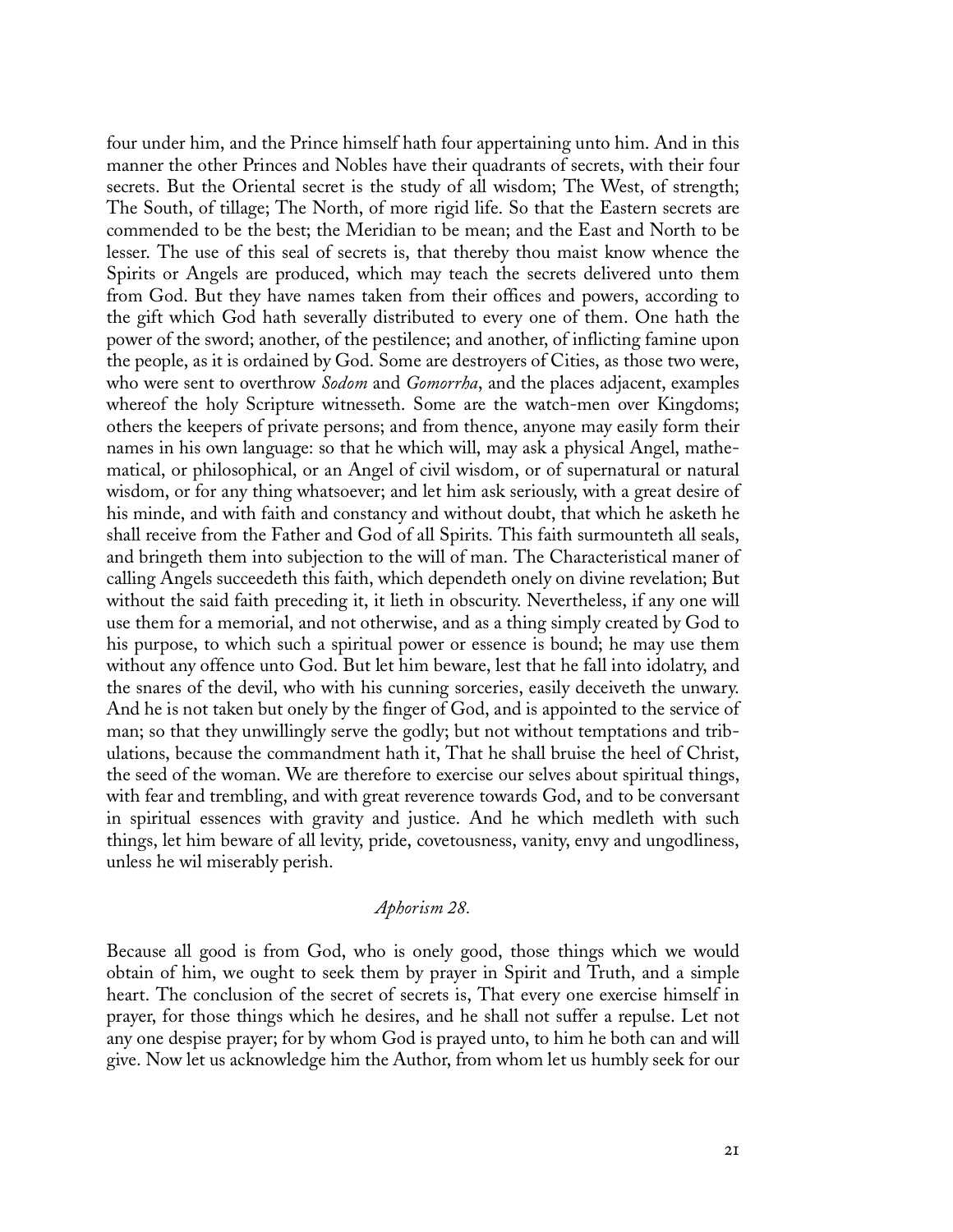four under him, and the Prince himself hath four appertaining unto him. And in this manner the other Princes and Nobles have their quadrants of secrets, with their four secrets. But the Oriental secret is the study of all wisdom; The West, of strength; The South, of tillage; The North, of more rigid life. So that the Eastern secrets are commended to be the best; the Meridian to be mean; and the East and North to be lesser. The use of this seal of secrets is, that thereby thou maist know whence the Spirits or Angels are produced, which may teach the secrets delivered unto them from God. But they have names taken from their offices and powers, according to the gift which God hath severally distributed to every one of them. One hath the power of the sword; another, of the pestilence; and another, of inflicting famine upon the people, as it is ordained by God. Some are destroyers of Cities, as those two were, who were sent to overthrow *Sodom* and *Gomorrha*, and the places adjacent, examples whereof the holy Scripture witnesseth. Some are the watch-men over Kingdoms; others the keepers of private persons; and from thence, anyone may easily form their names in his own language: so that he which will, may ask a physical Angel, mathematical, or philosophical, or an Angel of civil wisdom, or of supernatural or natural wisdom, or for any thing whatsoever; and let him ask seriously, with a great desire of his minde, and with faith and constancy and without doubt, that which he asketh he shall receive from the Father and God of all Spirits. This faith surmounteth all seals, and bringeth them into subjection to the will of man. The Characteristical maner of calling Angels succeedeth this faith, which dependeth onely on divine revelation; But without the said faith preceding it, it lieth in obscurity. Nevertheless, if any one will use them for a memorial, and not otherwise, and as a thing simply created by God to his purpose, to which such a spiritual power or essence is bound; he may use them without any offence unto God. But let him beware, lest that he fall into idolatry, and the snares of the devil, who with his cunning sorceries, easily deceiveth the unwary. And he is not taken but onely by the finger of God, and is appointed to the service of man; so that they unwillingly serve the godly; but not without temptations and tribulations, because the commandment hath it, That he shall bruise the heel of Christ, the seed of the woman. We are therefore to exercise our selves about spiritual things, with fear and trembling, and with great reverence towards God, and to be conversant in spiritual essences with gravity and justice. And he which medleth with such things, let him beware of all levity, pride, covetousness, vanity, envy and ungodliness, unless he wil miserably perish.

#### *Aphorism 28.*

Because all good is from God, who is onely good, those things which we would obtain of him, we ought to seek them by prayer in Spirit and Truth, and a simple heart. The conclusion of the secret of secrets is, That every one exercise himself in prayer, for those things which he desires, and he shall not suffer a repulse. Let not any one despise prayer; for by whom God is prayed unto, to him he both can and will give. Now let us acknowledge him the Author, from whom let us humbly seek for our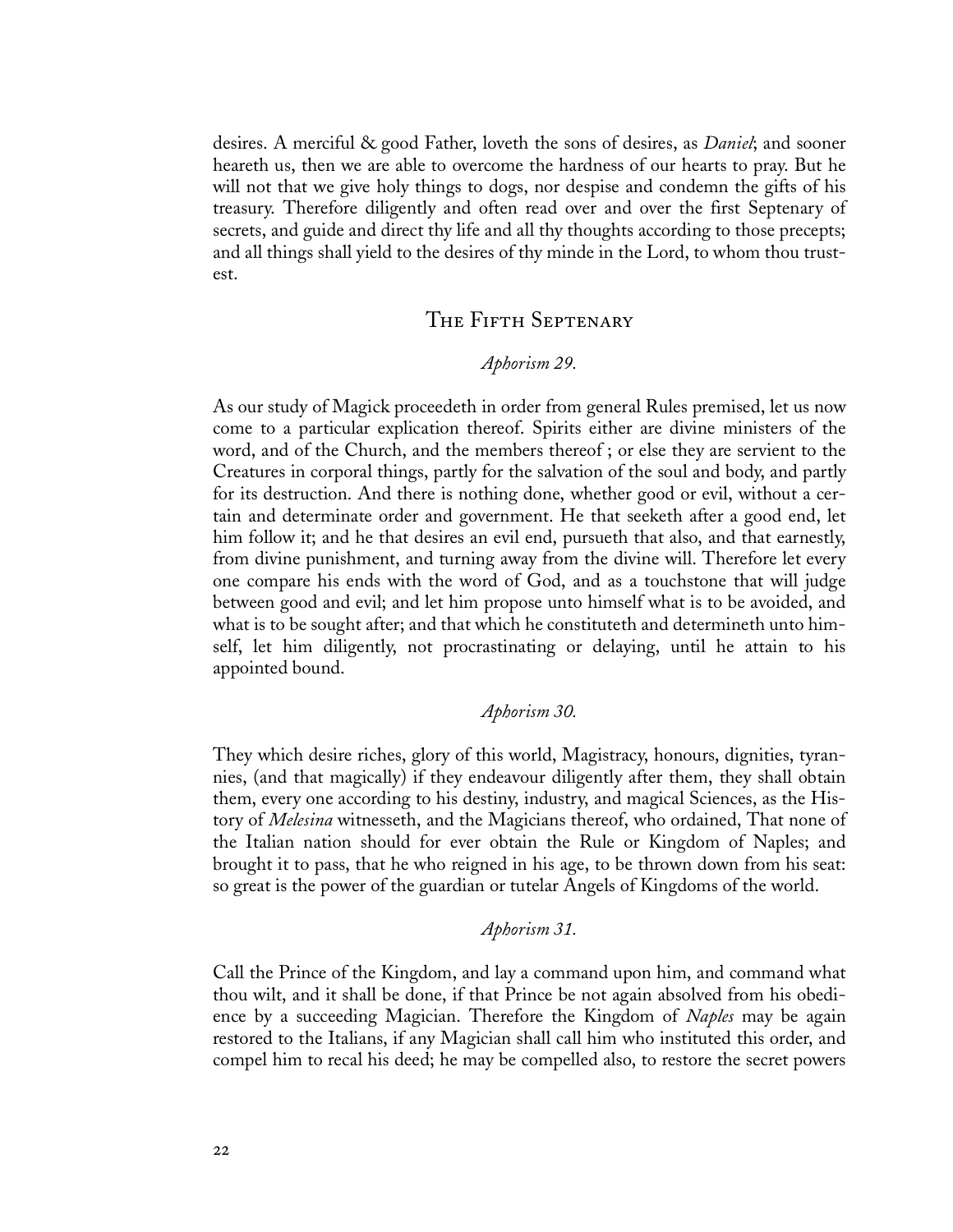desires. A merciful & good Father, loveth the sons of desires, as *Daniel*; and sooner heareth us, then we are able to overcome the hardness of our hearts to pray. But he will not that we give holy things to dogs, nor despise and condemn the gifts of his treasury. Therefore diligently and often read over and over the first Septenary of secrets, and guide and direct thy life and all thy thoughts according to those precepts; and all things shall yield to the desires of thy minde in the Lord, to whom thou trustest.

# The Fifth Septenary

# *Aphorism 29.*

As our study of Magick proceedeth in order from general Rules premised, let us now come to a particular explication thereof. Spirits either are divine ministers of the word, and of the Church, and the members thereof ; or else they are servient to the Creatures in corporal things, partly for the salvation of the soul and body, and partly for its destruction. And there is nothing done, whether good or evil, without a certain and determinate order and government. He that seeketh after a good end, let him follow it; and he that desires an evil end, pursueth that also, and that earnestly, from divine punishment, and turning away from the divine will. Therefore let every one compare his ends with the word of God, and as a touchstone that will judge between good and evil; and let him propose unto himself what is to be avoided, and what is to be sought after; and that which he constituteth and determineth unto himself, let him diligently, not procrastinating or delaying, until he attain to his appointed bound.

#### *Aphorism 30.*

They which desire riches, glory of this world, Magistracy, honours, dignities, tyrannies, (and that magically) if they endeavour diligently after them, they shall obtain them, every one according to his destiny, industry, and magical Sciences, as the History of *Melesina* witnesseth, and the Magicians thereof, who ordained, That none of the Italian nation should for ever obtain the Rule or Kingdom of Naples; and brought it to pass, that he who reigned in his age, to be thrown down from his seat: so great is the power of the guardian or tutelar Angels of Kingdoms of the world.

# *Aphorism 31.*

Call the Prince of the Kingdom, and lay a command upon him, and command what thou wilt, and it shall be done, if that Prince be not again absolved from his obedience by a succeeding Magician. Therefore the Kingdom of *Naples* may be again restored to the Italians, if any Magician shall call him who instituted this order, and compel him to recal his deed; he may be compelled also, to restore the secret powers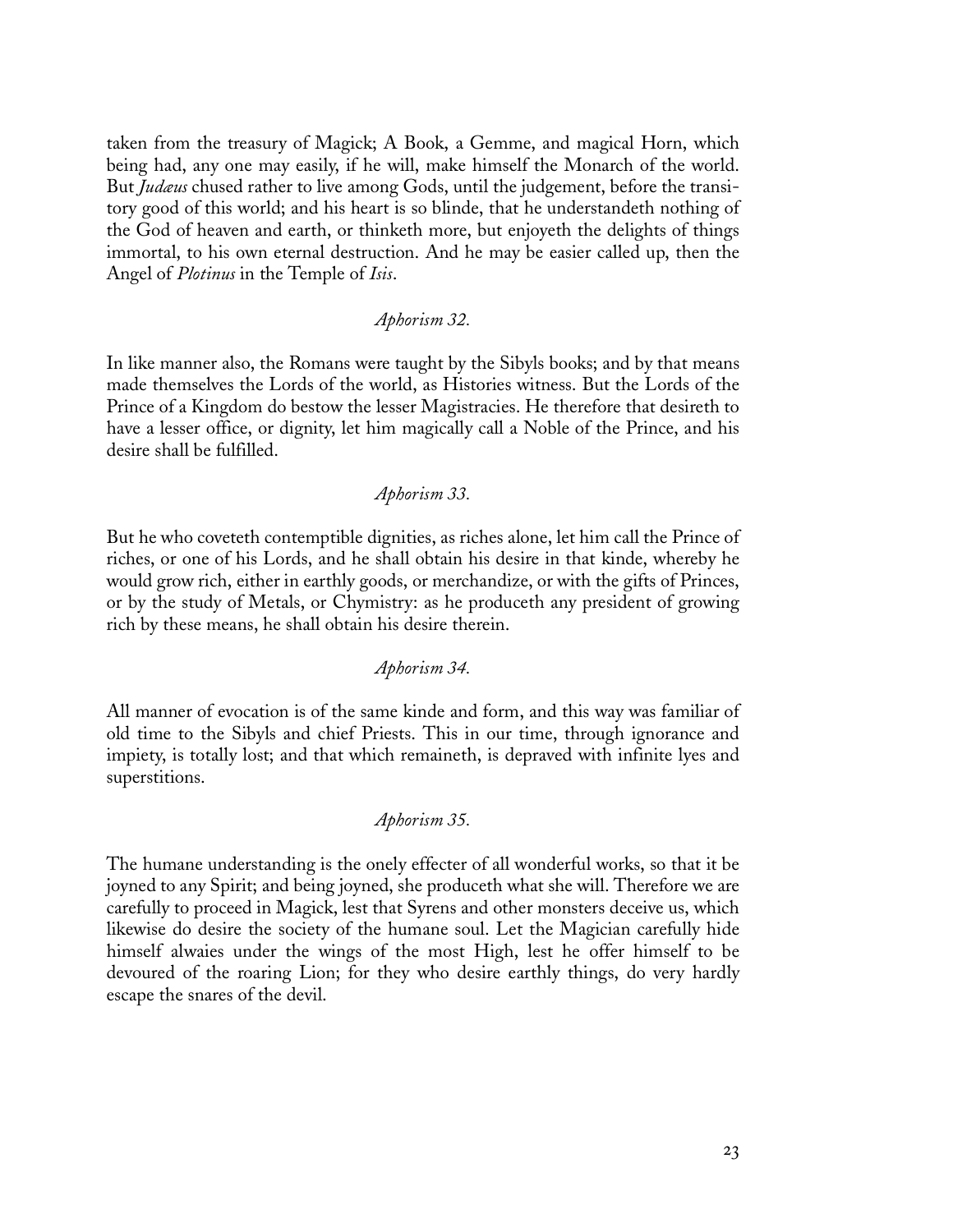taken from the treasury of Magick; A Book, a Gemme, and magical Horn, which being had, any one may easily, if he will, make himself the Monarch of the world. But *Judæus* chused rather to live among Gods, until the judgement, before the transitory good of this world; and his heart is so blinde, that he understandeth nothing of the God of heaven and earth, or thinketh more, but enjoyeth the delights of things immortal, to his own eternal destruction. And he may be easier called up, then the Angel of *Plotinus* in the Temple of *Isis*.

#### *Aphorism 32.*

In like manner also, the Romans were taught by the Sibyls books; and by that means made themselves the Lords of the world, as Histories witness. But the Lords of the Prince of a Kingdom do bestow the lesser Magistracies. He therefore that desireth to have a lesser office, or dignity, let him magically call a Noble of the Prince, and his desire shall be fulfilled.

# *Aphorism 33.*

But he who coveteth contemptible dignities, as riches alone, let him call the Prince of riches, or one of his Lords, and he shall obtain his desire in that kinde, whereby he would grow rich, either in earthly goods, or merchandize, or with the gifts of Princes, or by the study of Metals, or Chymistry: as he produceth any president of growing rich by these means, he shall obtain his desire therein.

#### *Aphorism 34.*

All manner of evocation is of the same kinde and form, and this way was familiar of old time to the Sibyls and chief Priests. This in our time, through ignorance and impiety, is totally lost; and that which remaineth, is depraved with infinite lyes and superstitions.

# *Aphorism 35.*

The humane understanding is the onely effecter of all wonderful works, so that it be joyned to any Spirit; and being joyned, she produceth what she will. Therefore we are carefully to proceed in Magick, lest that Syrens and other monsters deceive us, which likewise do desire the society of the humane soul. Let the Magician carefully hide himself alwaies under the wings of the most High, lest he offer himself to be devoured of the roaring Lion; for they who desire earthly things, do very hardly escape the snares of the devil.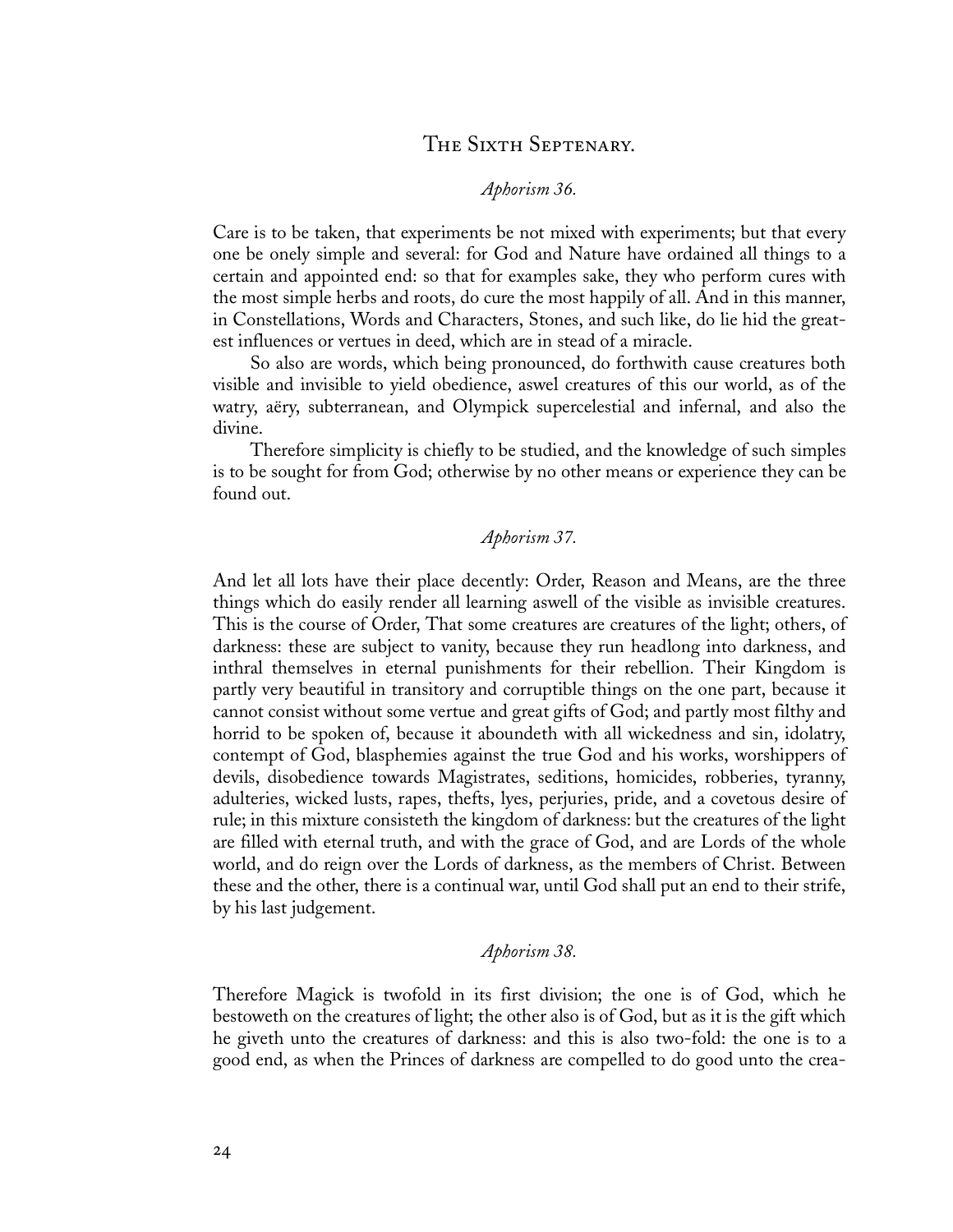# The Sixth Septenary.

#### *Aphorism 36.*

Care is to be taken, that experiments be not mixed with experiments; but that every one be onely simple and several: for God and Nature have ordained all things to a certain and appointed end: so that for examples sake, they who perform cures with the most simple herbs and roots, do cure the most happily of all. And in this manner, in Constellations, Words and Characters, Stones, and such like, do lie hid the greatest influences or vertues in deed, which are in stead of a miracle.

So also are words, which being pronounced, do forthwith cause creatures both visible and invisible to yield obedience, aswel creatures of this our world, as of the watry, aëry, subterranean, and Olympick supercelestial and infernal, and also the divine.

Therefore simplicity is chiefly to be studied, and the knowledge of such simples is to be sought for from God; otherwise by no other means or experience they can be found out.

# *Aphorism 37.*

And let all lots have their place decently: Order, Reason and Means, are the three things which do easily render all learning aswell of the visible as invisible creatures. This is the course of Order, That some creatures are creatures of the light; others, of darkness: these are subject to vanity, because they run headlong into darkness, and inthral themselves in eternal punishments for their rebellion. Their Kingdom is partly very beautiful in transitory and corruptible things on the one part, because it cannot consist without some vertue and great gifts of God; and partly most filthy and horrid to be spoken of, because it aboundeth with all wickedness and sin, idolatry, contempt of God, blasphemies against the true God and his works, worshippers of devils, disobedience towards Magistrates, seditions, homicides, robberies, tyranny, adulteries, wicked lusts, rapes, thefts, lyes, perjuries, pride, and a covetous desire of rule; in this mixture consisteth the kingdom of darkness: but the creatures of the light are filled with eternal truth, and with the grace of God, and are Lords of the whole world, and do reign over the Lords of darkness, as the members of Christ. Between these and the other, there is a continual war, until God shall put an end to their strife, by his last judgement.

#### *Aphorism 38.*

Therefore Magick is twofold in its first division; the one is of God, which he bestoweth on the creatures of light; the other also is of God, but as it is the gift which he giveth unto the creatures of darkness: and this is also two-fold: the one is to a good end, as when the Princes of darkness are compelled to do good unto the crea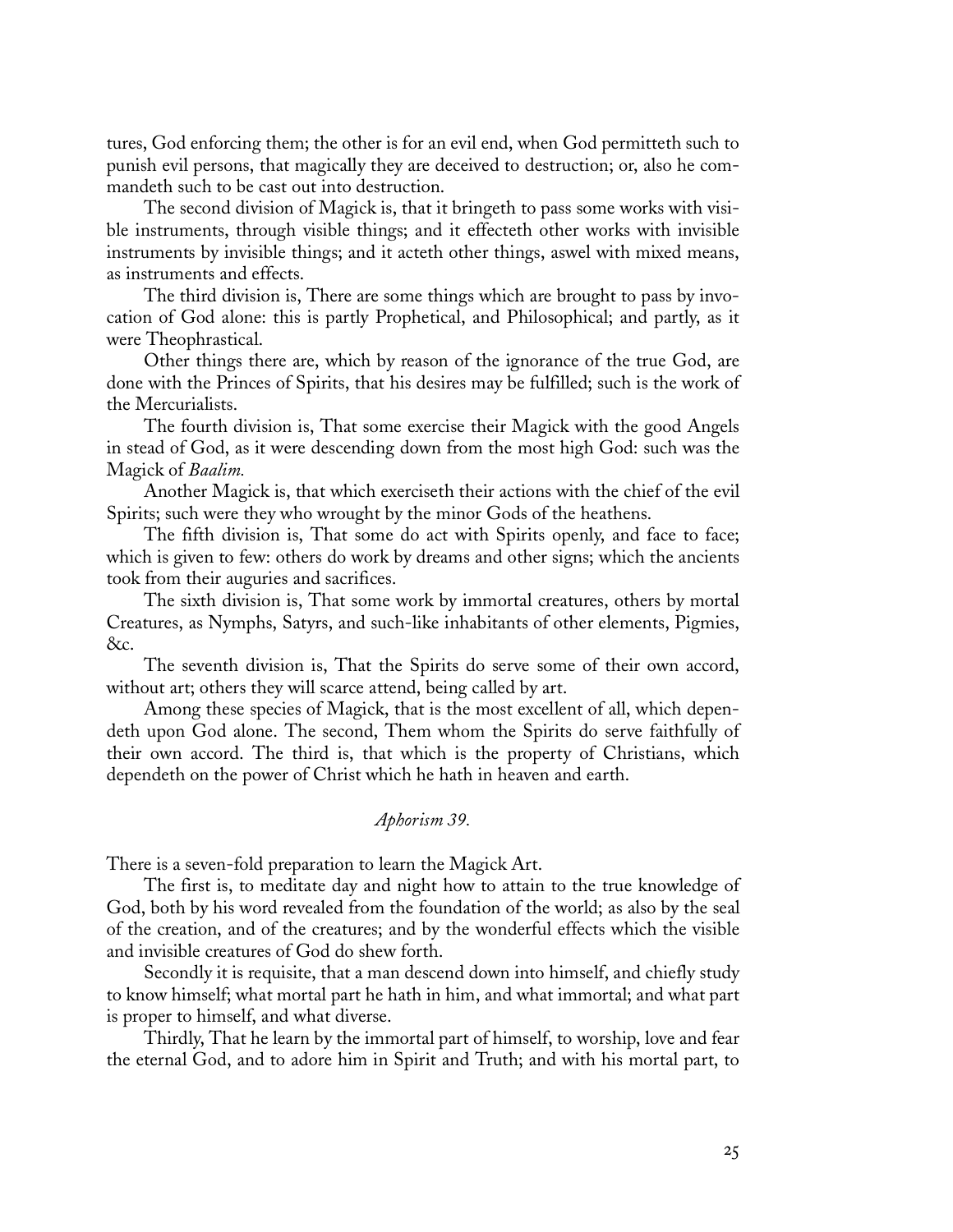tures, God enforcing them; the other is for an evil end, when God permitteth such to punish evil persons, that magically they are deceived to destruction; or, also he commandeth such to be cast out into destruction.

The second division of Magick is, that it bringeth to pass some works with visible instruments, through visible things; and it effecteth other works with invisible instruments by invisible things; and it acteth other things, aswel with mixed means, as instruments and effects.

The third division is, There are some things which are brought to pass by invocation of God alone: this is partly Prophetical, and Philosophical; and partly, as it were Theophrastical.

Other things there are, which by reason of the ignorance of the true God, are done with the Princes of Spirits, that his desires may be fulfilled; such is the work of the Mercurialists.

The fourth division is, That some exercise their Magick with the good Angels in stead of God, as it were descending down from the most high God: such was the Magick of *Baalim.*

Another Magick is, that which exerciseth their actions with the chief of the evil Spirits; such were they who wrought by the minor Gods of the heathens.

The fifth division is, That some do act with Spirits openly, and face to face; which is given to few: others do work by dreams and other signs; which the ancients took from their auguries and sacrifices.

The sixth division is, That some work by immortal creatures, others by mortal Creatures, as Nymphs, Satyrs, and such-like inhabitants of other elements, Pigmies, &c.

The seventh division is, That the Spirits do serve some of their own accord, without art; others they will scarce attend, being called by art.

Among these species of Magick, that is the most excellent of all, which dependeth upon God alone. The second, Them whom the Spirits do serve faithfully of their own accord. The third is, that which is the property of Christians, which dependeth on the power of Christ which he hath in heaven and earth.

# *Aphorism 39.*

There is a seven-fold preparation to learn the Magick Art.

The first is, to meditate day and night how to attain to the true knowledge of God, both by his word revealed from the foundation of the world; as also by the seal of the creation, and of the creatures; and by the wonderful effects which the visible and invisible creatures of God do shew forth.

Secondly it is requisite, that a man descend down into himself, and chiefly study to know himself; what mortal part he hath in him, and what immortal; and what part is proper to himself, and what diverse.

Thirdly, That he learn by the immortal part of himself, to worship, love and fear the eternal God, and to adore him in Spirit and Truth; and with his mortal part, to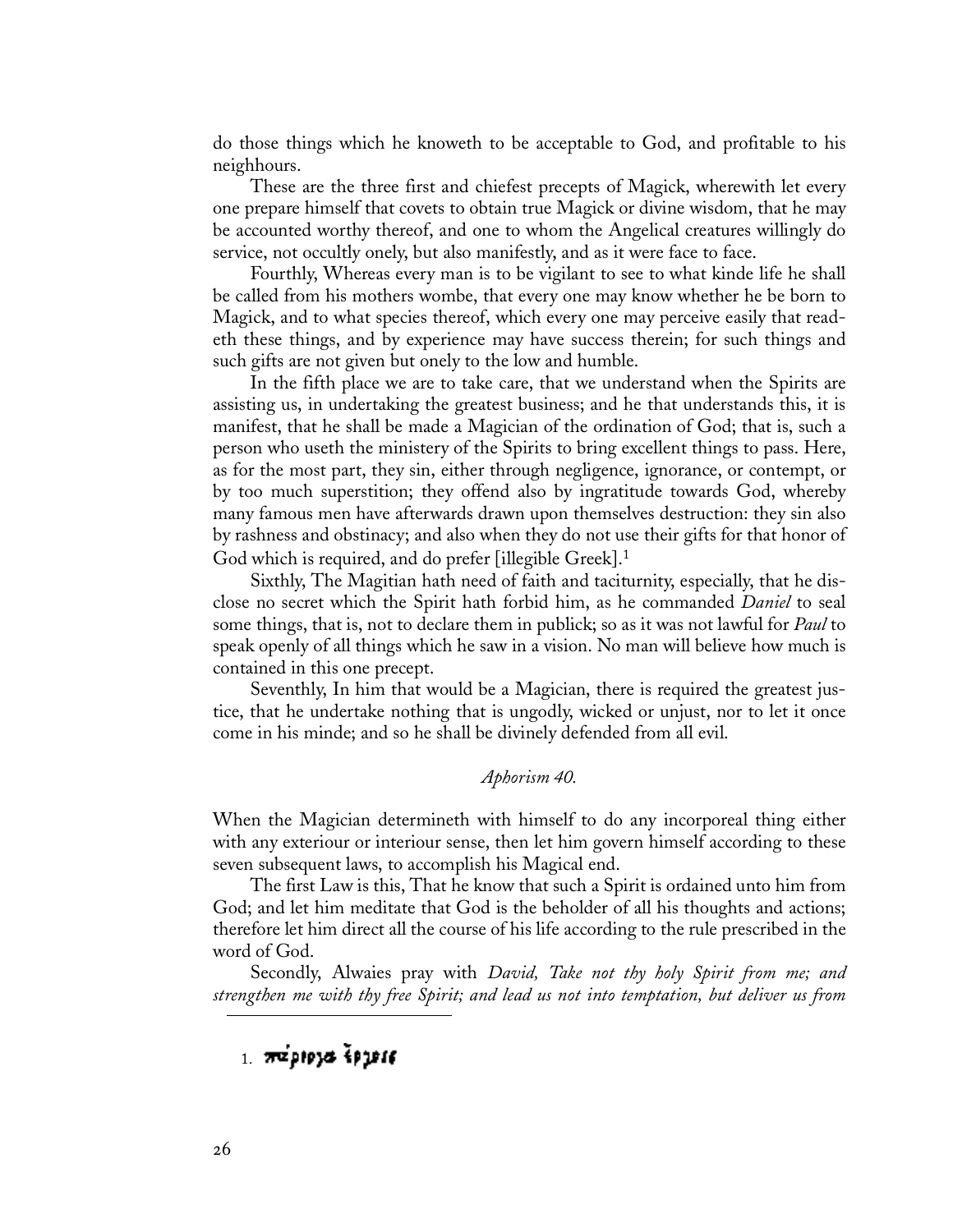do those things which he knoweth to be acceptable to God, and profitable to his neighhours.

These are the three first and chiefest precepts of Magick, wherewith let every one prepare himself that covets to obtain true Magick or divine wisdom, that he may be accounted worthy thereof, and one to whom the Angelical creatures willingly do service, not occultly onely, but also manifestly, and as it were face to face.

Fourthly, Whereas every man is to be vigilant to see to what kinde life he shall be called from his mothers wombe, that every one may know whether he be born to Magick, and to what species thereof, which every one may perceive easily that readeth these things, and by experience may have success therein; for such things and such gifts are not given but onely to the low and humble.

In the fifth place we are to take care, that we understand when the Spirits are assisting us, in undertaking the greatest business; and he that understands this, it is manifest, that he shall be made a Magician of the ordination of God; that is, such a person who useth the ministery of the Spirits to bring excellent things to pass. Here, as for the most part, they sin, either through negligence, ignorance, or contempt, or by too much superstition; they offend also by ingratitude towards God, whereby many famous men have afterwards drawn upon themselves destruction: they sin also by rashness and obstinacy; and also when they do not use their gifts for that honor of God which is required, and do prefer [illegible Greek].<sup>1</sup>

Sixthly, The Magitian hath need of faith and taciturnity, especially, that he disclose no secret which the Spirit hath forbid him, as he commanded *Daniel* to seal some things, that is, not to declare them in publick; so as it was not lawful for *Paul* to speak openly of all things which he saw in a vision. No man will believe how much is contained in this one precept.

Seventhly, In him that would be a Magician, there is required the greatest justice, that he undertake nothing that is ungodly, wicked or unjust, nor to let it once come in his minde; and so he shall be divinely defended from all evil.

# *Aphorism 40.*

When the Magician determineth with himself to do any incorporeal thing either with any exteriour or interiour sense, then let him govern himself according to these seven subsequent laws, to accomplish his Magical end.

The first Law is this, That he know that such a Spirit is ordained unto him from God; and let him meditate that God is the beholder of all his thoughts and actions; therefore let him direct all the course of his life according to the rule prescribed in the word of God.

Secondly, Alwaies pray with *David, Take not thy holy Spirit from me; and strengthen me with thy free Spirit; and lead us not into temptation, but deliver us from*

# 1. *ma*piera šereis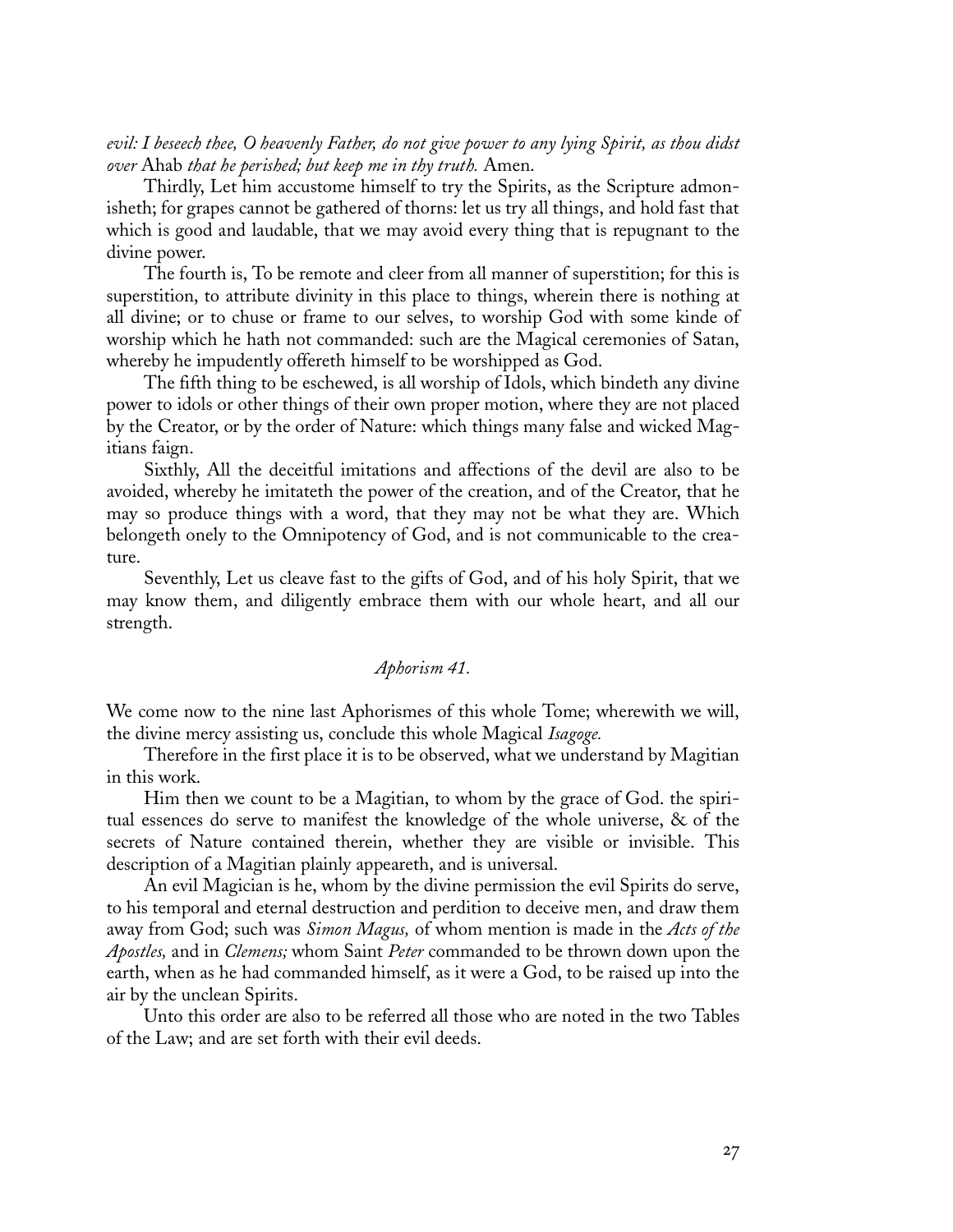*evil: I beseech thee, O heavenly Father, do not give power to any lying Spirit, as thou didst over* Ahab *that he perished; but keep me in thy truth.* Amen.

Thirdly, Let him accustome himself to try the Spirits, as the Scripture admonisheth; for grapes cannot be gathered of thorns: let us try all things, and hold fast that which is good and laudable, that we may avoid every thing that is repugnant to the divine power.

The fourth is, To be remote and cleer from all manner of superstition; for this is superstition, to attribute divinity in this place to things, wherein there is nothing at all divine; or to chuse or frame to our selves, to worship God with some kinde of worship which he hath not commanded: such are the Magical ceremonies of Satan, whereby he impudently offereth himself to be worshipped as God.

The fifth thing to be eschewed, is all worship of Idols, which bindeth any divine power to idols or other things of their own proper motion, where they are not placed by the Creator, or by the order of Nature: which things many false and wicked Magitians faign.

Sixthly, All the deceitful imitations and affections of the devil are also to be avoided, whereby he imitateth the power of the creation, and of the Creator, that he may so produce things with a word, that they may not be what they are. Which belongeth onely to the Omnipotency of God, and is not communicable to the creature.

Seventhly, Let us cleave fast to the gifts of God, and of his holy Spirit, that we may know them, and diligently embrace them with our whole heart, and all our strength.

# *Aphorism 41.*

We come now to the nine last Aphorismes of this whole Tome; wherewith we will, the divine mercy assisting us, conclude this whole Magical *Isagoge.*

Therefore in the first place it is to be observed, what we understand by Magitian in this work.

Him then we count to be a Magitian, to whom by the grace of God. the spiritual essences do serve to manifest the knowledge of the whole universe, & of the secrets of Nature contained therein, whether they are visible or invisible. This description of a Magitian plainly appeareth, and is universal.

An evil Magician is he, whom by the divine permission the evil Spirits do serve, to his temporal and eternal destruction and perdition to deceive men, and draw them away from God; such was *Simon Magus,* of whom mention is made in the *Acts of the Apostles,* and in *Clemens;* whom Saint *Peter* commanded to be thrown down upon the earth, when as he had commanded himself, as it were a God, to be raised up into the air by the unclean Spirits.

Unto this order are also to be referred all those who are noted in the two Tables of the Law; and are set forth with their evil deeds.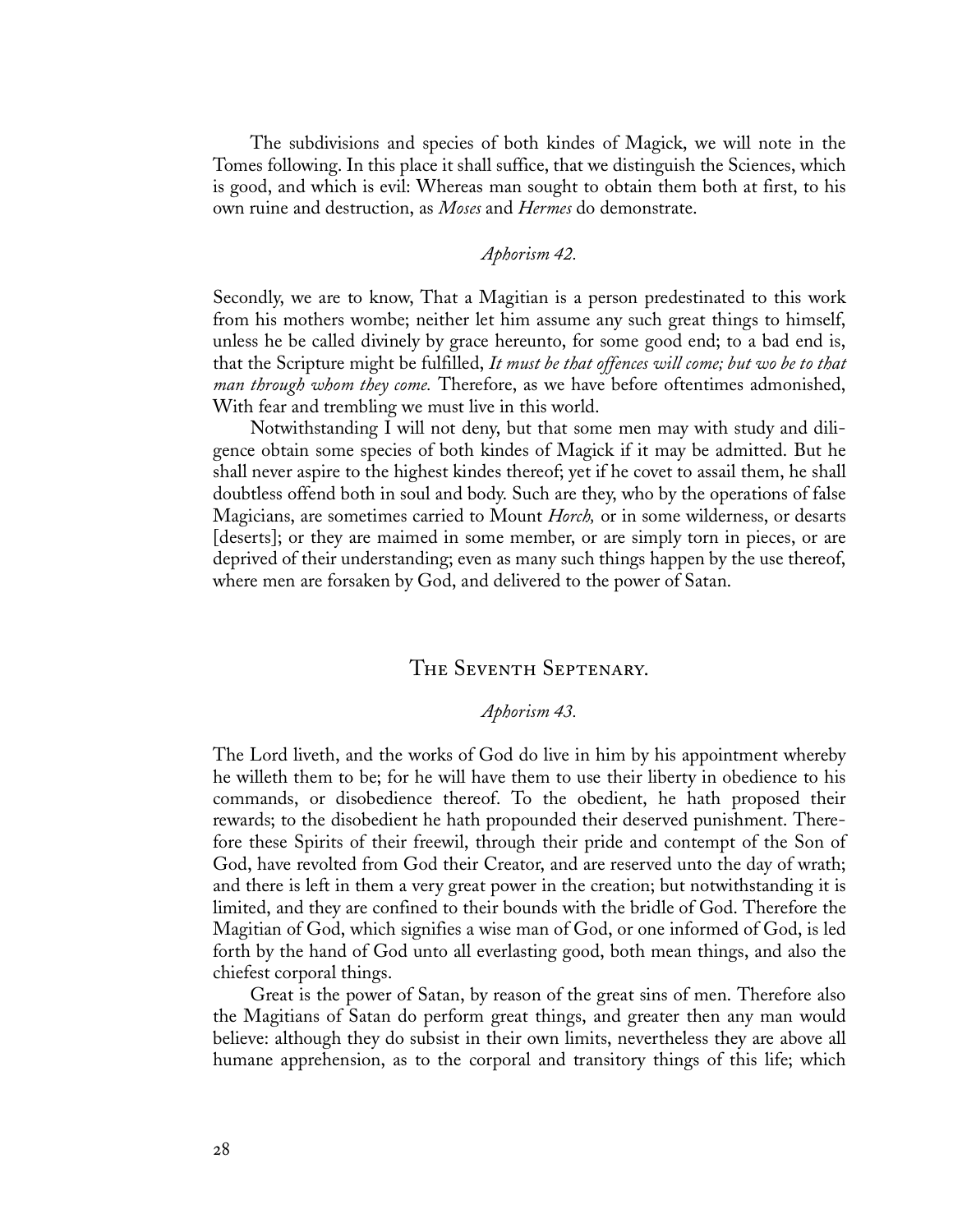The subdivisions and species of both kindes of Magick, we will note in the Tomes following. In this place it shall suffice, that we distinguish the Sciences, which is good, and which is evil: Whereas man sought to obtain them both at first, to his own ruine and destruction, as *Moses* and *Hermes* do demonstrate.

#### *Aphorism 42.*

Secondly, we are to know, That a Magitian is a person predestinated to this work from his mothers wombe; neither let him assume any such great things to himself, unless he be called divinely by grace hereunto, for some good end; to a bad end is, that the Scripture might be fulfilled, *It must be that offences will come; but wo be to that man through whom they come.* Therefore, as we have before oftentimes admonished, With fear and trembling we must live in this world.

Notwithstanding I will not deny, but that some men may with study and diligence obtain some species of both kindes of Magick if it may be admitted. But he shall never aspire to the highest kindes thereof; yet if he covet to assail them, he shall doubtless offend both in soul and body. Such are they, who by the operations of false Magicians, are sometimes carried to Mount *Horch,* or in some wilderness, or desarts [deserts]; or they are maimed in some member, or are simply torn in pieces, or are deprived of their understanding; even as many such things happen by the use thereof, where men are forsaken by God, and delivered to the power of Satan.

## The Seventh Septenary.

#### *Aphorism 43.*

The Lord liveth, and the works of God do live in him by his appointment whereby he willeth them to be; for he will have them to use their liberty in obedience to his commands, or disobedience thereof. To the obedient, he hath proposed their rewards; to the disobedient he hath propounded their deserved punishment. Therefore these Spirits of their freewil, through their pride and contempt of the Son of God, have revolted from God their Creator, and are reserved unto the day of wrath; and there is left in them a very great power in the creation; but notwithstanding it is limited, and they are confined to their bounds with the bridle of God. Therefore the Magitian of God, which signifies a wise man of God, or one informed of God, is led forth by the hand of God unto all everlasting good, both mean things, and also the chiefest corporal things.

Great is the power of Satan, by reason of the great sins of men. Therefore also the Magitians of Satan do perform great things, and greater then any man would believe: although they do subsist in their own limits, nevertheless they are above all humane apprehension, as to the corporal and transitory things of this life; which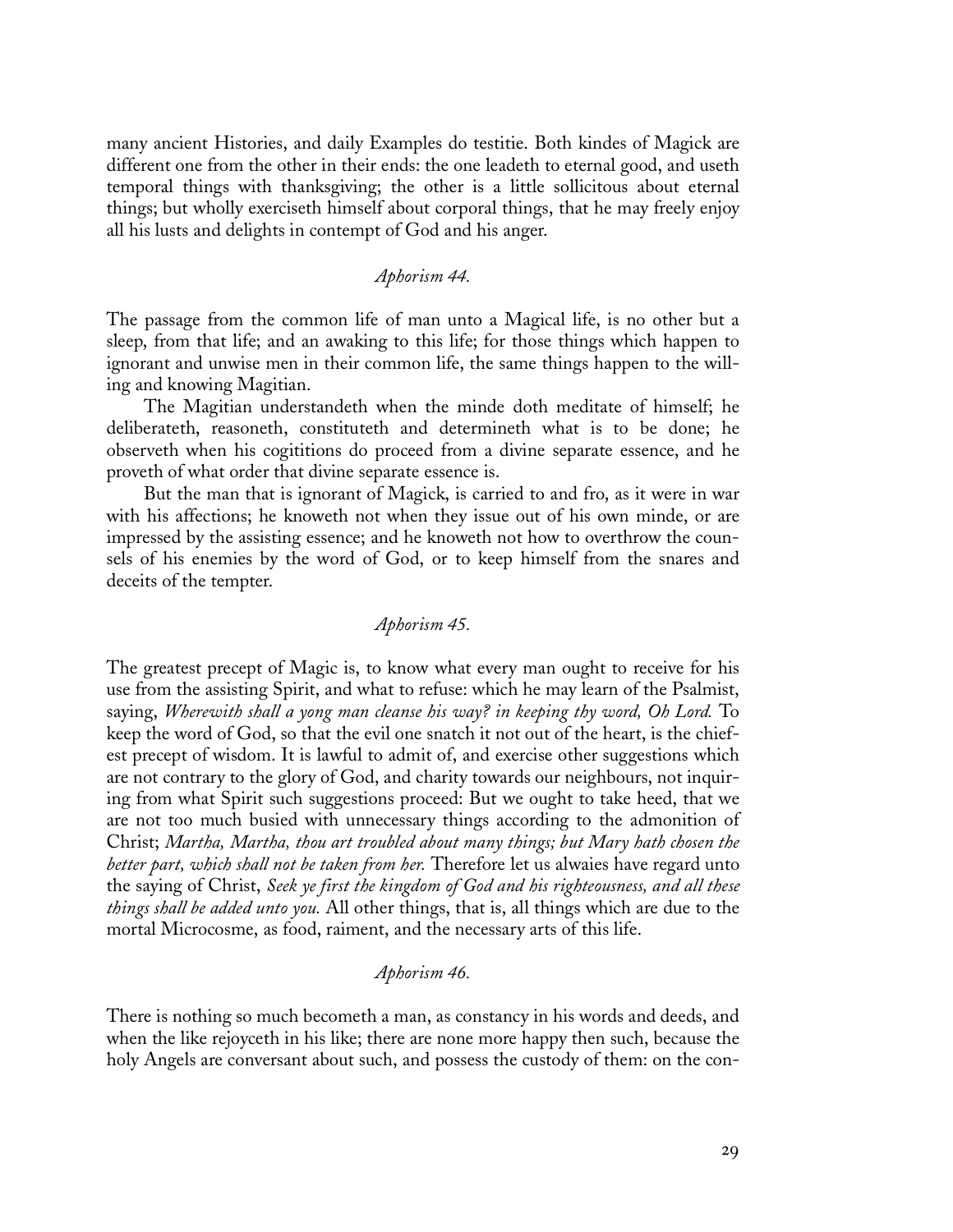many ancient Histories, and daily Examples do testitie. Both kindes of Magick are different one from the other in their ends: the one leadeth to eternal good, and useth temporal things with thanksgiving; the other is a little sollicitous about eternal things; but wholly exerciseth himself about corporal things, that he may freely enjoy all his lusts and delights in contempt of God and his anger.

# *Aphorism 44.*

The passage from the common life of man unto a Magical life, is no other but a sleep, from that life; and an awaking to this life; for those things which happen to ignorant and unwise men in their common life, the same things happen to the willing and knowing Magitian.

The Magitian understandeth when the minde doth meditate of himself; he deliberateth, reasoneth, constituteth and determineth what is to be done; he observeth when his cogititions do proceed from a divine separate essence, and he proveth of what order that divine separate essence is.

But the man that is ignorant of Magick, is carried to and fro, as it were in war with his affections; he knoweth not when they issue out of his own minde, or are impressed by the assisting essence; and he knoweth not how to overthrow the counsels of his enemies by the word of God, or to keep himself from the snares and deceits of the tempter.

# *Aphorism 45.*

The greatest precept of Magic is, to know what every man ought to receive for his use from the assisting Spirit, and what to refuse: which he may learn of the Psalmist, saying, *Wherewith shall a yong man cleanse his way? in keeping thy word, Oh Lord.* To keep the word of God, so that the evil one snatch it not out of the heart, is the chiefest precept of wisdom. It is lawful to admit of, and exercise other suggestions which are not contrary to the glory of God, and charity towards our neighbours, not inquiring from what Spirit such suggestions proceed: But we ought to take heed, that we are not too much busied with unnecessary things according to the admonition of Christ; *Martha, Martha, thou art troubled about many things; but Mary hath chosen the better part, which shall not be taken from her.* Therefore let us alwaies have regard unto the saying of Christ, *Seek ye first the kingdom of God and his righteousness, and all these things shall be added unto you.* All other things, that is, all things which are due to the mortal Microcosme, as food, raiment, and the necessary arts of this life.

#### *Aphorism 46.*

There is nothing so much becometh a man, as constancy in his words and deeds, and when the like rejoyceth in his like; there are none more happy then such, because the holy Angels are conversant about such, and possess the custody of them: on the con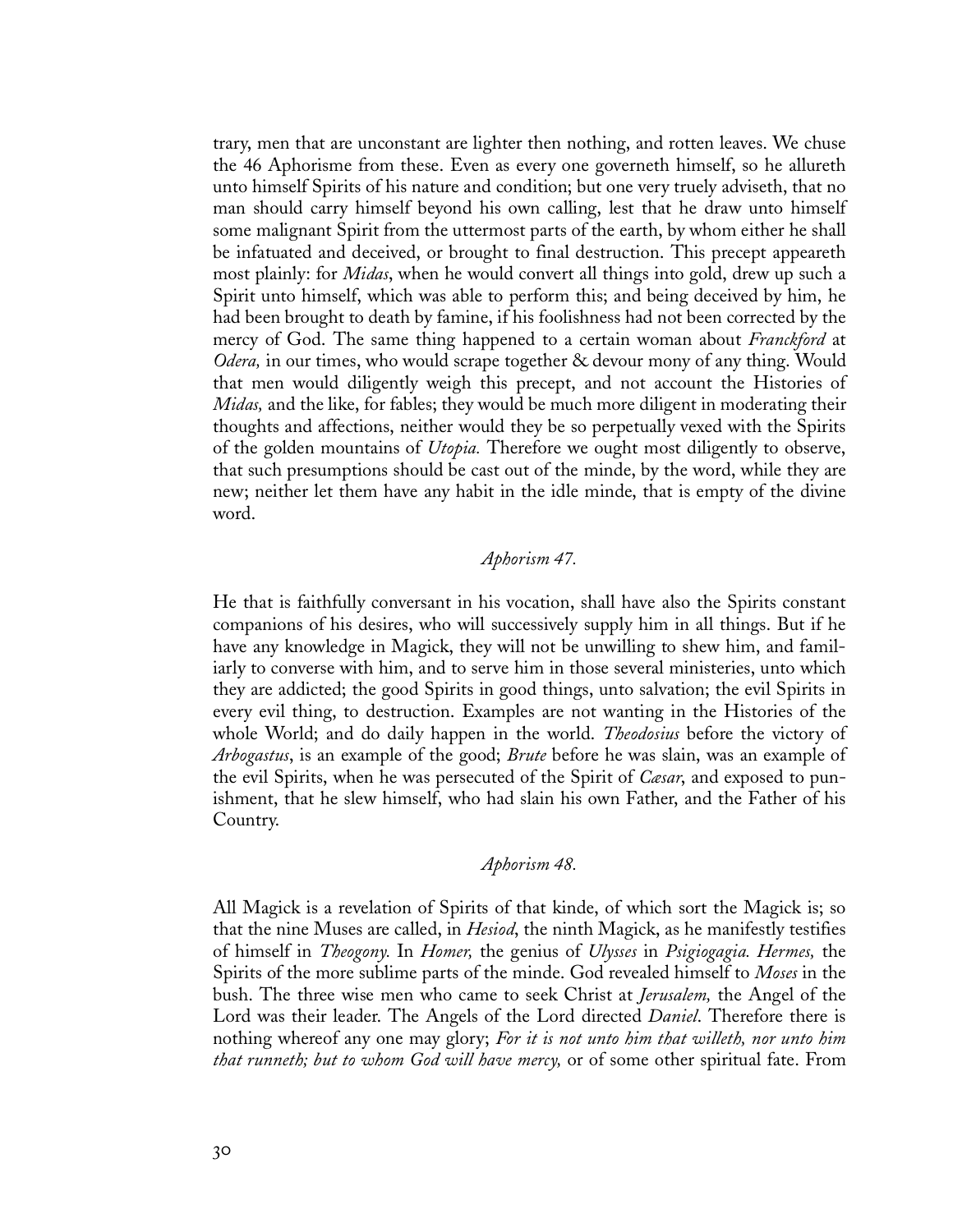trary, men that are unconstant are lighter then nothing, and rotten leaves. We chuse the 46 Aphorisme from these. Even as every one governeth himself, so he allureth unto himself Spirits of his nature and condition; but one very truely adviseth, that no man should carry himself beyond his own calling, lest that he draw unto himself some malignant Spirit from the uttermost parts of the earth, by whom either he shall be infatuated and deceived, or brought to final destruction. This precept appeareth most plainly: for *Midas*, when he would convert all things into gold, drew up such a Spirit unto himself, which was able to perform this; and being deceived by him, he had been brought to death by famine, if his foolishness had not been corrected by the mercy of God. The same thing happened to a certain woman about *Franckford* at *Odera,* in our times, who would scrape together & devour mony of any thing. Would that men would diligently weigh this precept, and not account the Histories of *Midas,* and the like, for fables; they would be much more diligent in moderating their thoughts and affections, neither would they be so perpetually vexed with the Spirits of the golden mountains of *Utopia.* Therefore we ought most diligently to observe, that such presumptions should be cast out of the minde, by the word, while they are new; neither let them have any habit in the idle minde, that is empty of the divine word.

#### *Aphorism 47.*

He that is faithfully conversant in his vocation, shall have also the Spirits constant companions of his desires, who will successively supply him in all things. But if he have any knowledge in Magick, they will not be unwilling to shew him, and familiarly to converse with him, and to serve him in those several ministeries, unto which they are addicted; the good Spirits in good things, unto salvation; the evil Spirits in every evil thing, to destruction. Examples are not wanting in the Histories of the whole World; and do daily happen in the world. *Theodosius* before the victory of *Arbogastus*, is an example of the good; *Brute* before he was slain, was an example of the evil Spirits, when he was persecuted of the Spirit of *Cæsar*, and exposed to punishment, that he slew himself, who had slain his own Father, and the Father of his Country.

#### *Aphorism 48.*

All Magick is a revelation of Spirits of that kinde, of which sort the Magick is; so that the nine Muses are called, in *Hesiod*, the ninth Magick, as he manifestly testifies of himself in *Theogony.* In *Homer,* the genius of *Ulysses* in *Psigiogagia. Hermes,* the Spirits of the more sublime parts of the minde. God revealed himself to *Moses* in the bush. The three wise men who came to seek Christ at *Jerusalem,* the Angel of the Lord was their leader. The Angels of the Lord directed *Daniel*. Therefore there is nothing whereof any one may glory; *For it is not unto him that willeth, nor unto him that runneth; but to whom God will have mercy,* or of some other spiritual fate. From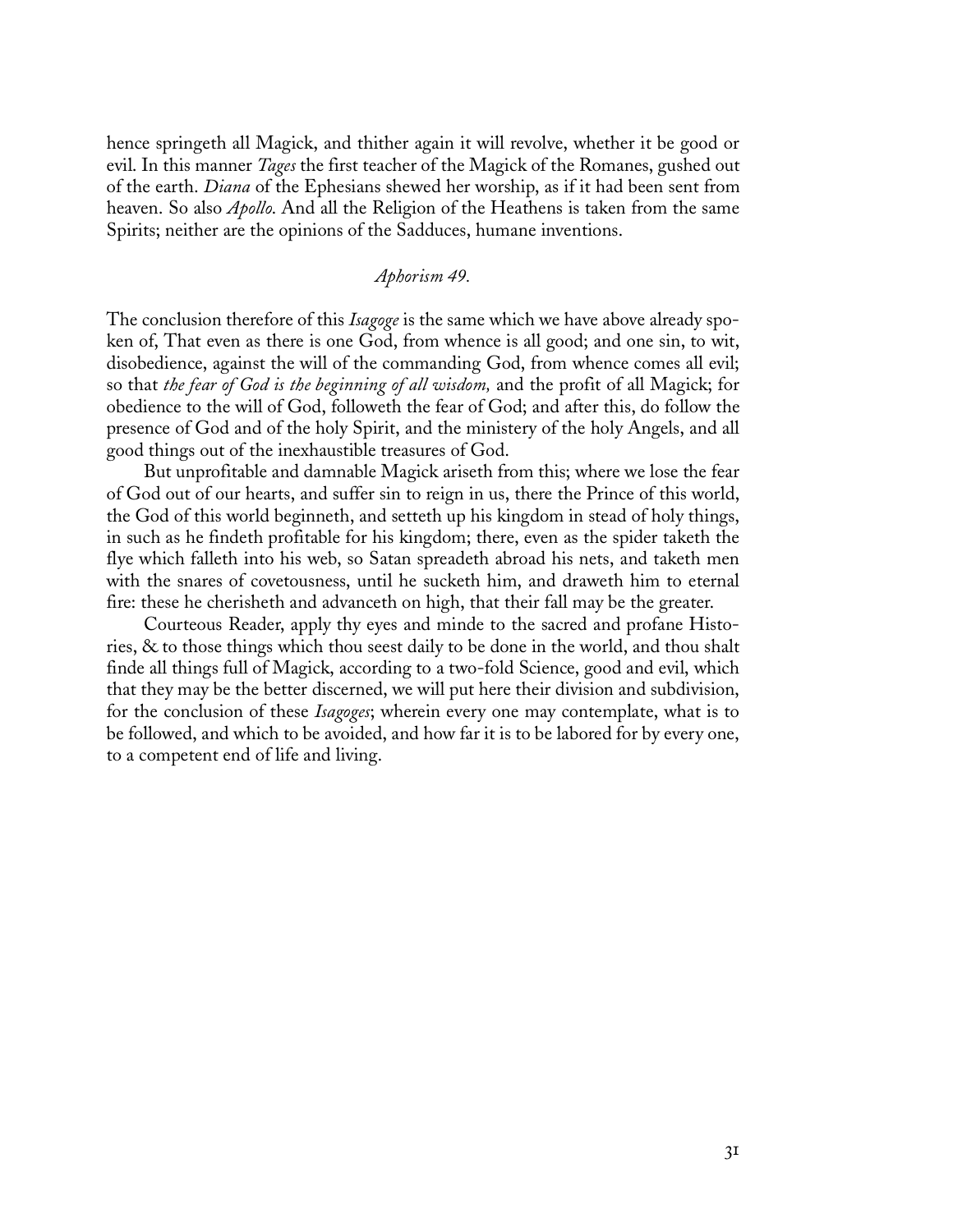hence springeth all Magick, and thither again it will revolve, whether it be good or evil. In this manner *Tages* the first teacher of the Magick of the Romanes, gushed out of the earth. *Diana* of the Ephesians shewed her worship, as if it had been sent from heaven. So also *Apollo*. And all the Religion of the Heathens is taken from the same Spirits; neither are the opinions of the Sadduces, humane inventions.

# *Aphorism 49.*

The conclusion therefore of this *Isagoge* is the same which we have above already spoken of, That even as there is one God, from whence is all good; and one sin, to wit, disobedience, against the will of the commanding God, from whence comes all evil; so that *the fear of God is the beginning of all wisdom,* and the profit of all Magick; for obedience to the will of God, followeth the fear of God; and after this, do follow the presence of God and of the holy Spirit, and the ministery of the holy Angels, and all good things out of the inexhaustible treasures of God.

But unprofitable and damnable Magick ariseth from this; where we lose the fear of God out of our hearts, and suffer sin to reign in us, there the Prince of this world, the God of this world beginneth, and setteth up his kingdom in stead of holy things, in such as he findeth profitable for his kingdom; there, even as the spider taketh the flye which falleth into his web, so Satan spreadeth abroad his nets, and taketh men with the snares of covetousness, until he sucketh him, and draweth him to eternal fire: these he cherisheth and advanceth on high, that their fall may be the greater.

Courteous Reader, apply thy eyes and minde to the sacred and profane Histories, & to those things which thou seest daily to be done in the world, and thou shalt finde all things full of Magick, according to a two-fold Science, good and evil, which that they may be the better discerned, we will put here their division and subdivision, for the conclusion of these *Isagoges*; wherein every one may contemplate, what is to be followed, and which to be avoided, and how far it is to be labored for by every one, to a competent end of life and living.